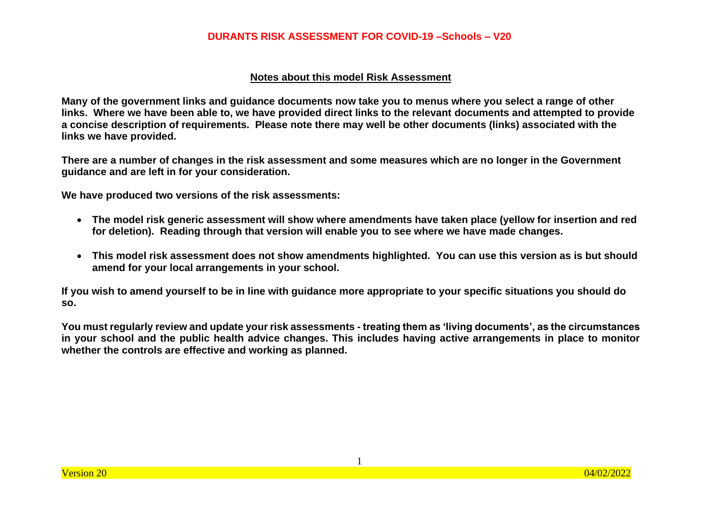#### **Notes about this model Risk Assessment**

**Many of the government links and guidance documents now take you to menus where you select a range of other links. Where we have been able to, we have provided direct links to the relevant documents and attempted to provide a concise description of requirements. Please note there may well be other documents (links) associated with the links we have provided.**

**There are a number of changes in the risk assessment and some measures which are no longer in the Government guidance and are left in for your consideration.**

**We have produced two versions of the risk assessments:** 

- **The model risk generic assessment will show where amendments have taken place (yellow for insertion and red for deletion). Reading through that version will enable you to see where we have made changes.**
- **This model risk assessment does not show amendments highlighted. You can use this version as is but should amend for your local arrangements in your school.**

**If you wish to amend yourself to be in line with guidance more appropriate to your specific situations you should do so.** 

**You must regularly review and update your risk assessments - treating them as 'living documents', as the circumstances in your school and the public health advice changes. This includes having active arrangements in place to monitor whether the controls are effective and working as planned.**

1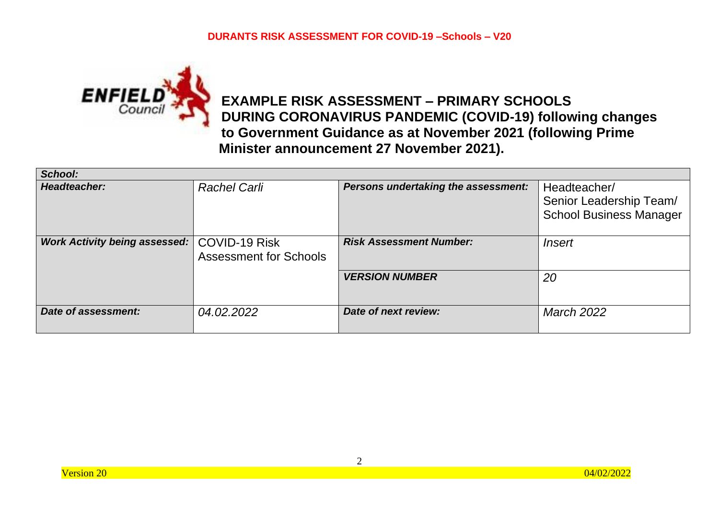

# **EXAMPLE RISK ASSESSMENT – PRIMARY SCHOOLS DURING CORONAVIRUS PANDEMIC (COVID-19) following changes to Government Guidance as at November 2021 (following Prime Minister announcement 27 November 2021).**

| School:                              |                                                       |                                     |                                                                           |
|--------------------------------------|-------------------------------------------------------|-------------------------------------|---------------------------------------------------------------------------|
| Headteacher:                         | <b>Rachel Carli</b>                                   | Persons undertaking the assessment: | Headteacher/<br>Senior Leadership Team/<br><b>School Business Manager</b> |
| <b>Work Activity being assessed:</b> | <b>COVID-19 Risk</b><br><b>Assessment for Schools</b> | <b>Risk Assessment Number:</b>      | Insert                                                                    |
|                                      |                                                       | <b>VERSION NUMBER</b>               | 20                                                                        |
| Date of assessment:                  | 04.02.2022                                            | Date of next review:                | <b>March 2022</b>                                                         |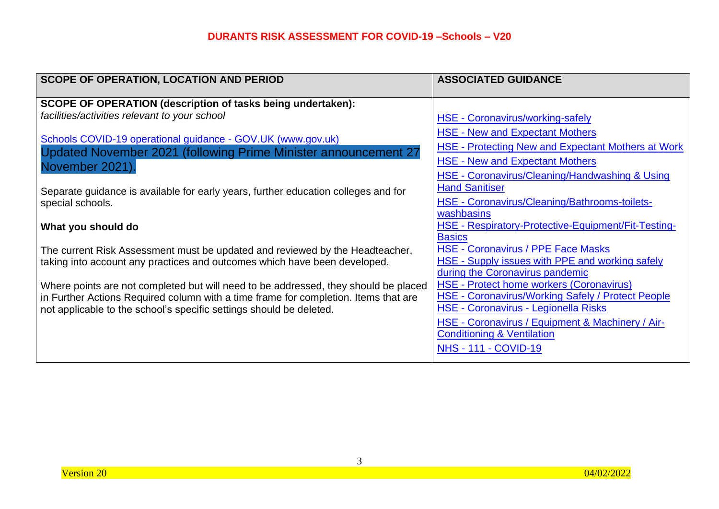| <b>SCOPE OF OPERATION, LOCATION AND PERIOD</b>                                      | <b>ASSOCIATED GUIDANCE</b>                                                                          |
|-------------------------------------------------------------------------------------|-----------------------------------------------------------------------------------------------------|
| <b>SCOPE OF OPERATION (description of tasks being undertaken):</b>                  |                                                                                                     |
| facilities/activities relevant to your school                                       | <b>HSE - Coronavirus/working-safely</b>                                                             |
| Schools COVID-19 operational guidance - GOV.UK (www.gov.uk)                         | <b>HSE - New and Expectant Mothers</b>                                                              |
| Updated November 2021 (following Prime Minister announcement 27                     | <b>HSE - Protecting New and Expectant Mothers at Work</b>                                           |
| November 2021).                                                                     | <b>HSE - New and Expectant Mothers</b><br><b>HSE - Coronavirus/Cleaning/Handwashing &amp; Using</b> |
| Separate guidance is available for early years, further education colleges and for  | <b>Hand Sanitiser</b>                                                                               |
| special schools.                                                                    | HSE - Coronavirus/Cleaning/Bathrooms-toilets-                                                       |
|                                                                                     | washbasins<br>HSE - Respiratory-Protective-Equipment/Fit-Testing-                                   |
| What you should do                                                                  | <b>Basics</b>                                                                                       |
| The current Risk Assessment must be updated and reviewed by the Headteacher,        | <b>HSE - Coronavirus / PPE Face Masks</b>                                                           |
| taking into account any practices and outcomes which have been developed.           | <b>HSE - Supply issues with PPE and working safely</b><br>during the Coronavirus pandemic           |
| Where points are not completed but will need to be addressed, they should be placed | <b>HSE - Protect home workers (Coronavirus)</b>                                                     |
| in Further Actions Required column with a time frame for completion. Items that are | HSE - Coronavirus/Working Safely / Protect People<br>HSE - Coronavirus - Legionella Risks           |
| not applicable to the school's specific settings should be deleted.                 | HSE - Coronavirus / Equipment & Machinery / Air-                                                    |
|                                                                                     | <b>Conditioning &amp; Ventilation</b>                                                               |
|                                                                                     | <b>NHS - 111 - COVID-19</b>                                                                         |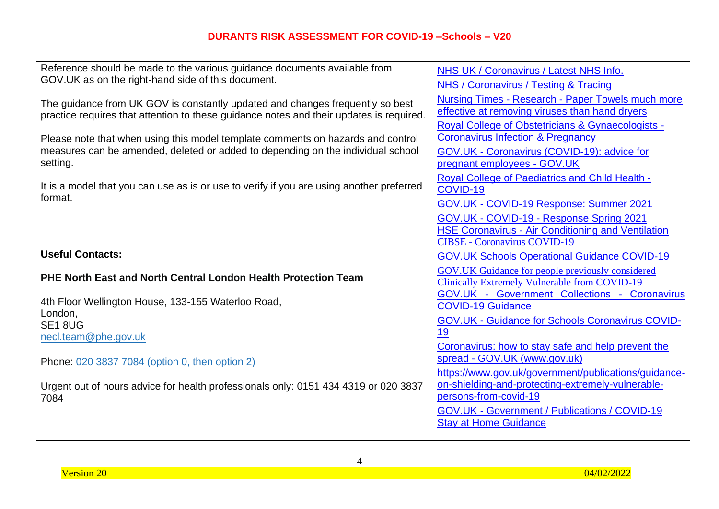| Reference should be made to the various guidance documents available from                           | NHS UK / Coronavirus / Latest NHS Info.                                    |
|-----------------------------------------------------------------------------------------------------|----------------------------------------------------------------------------|
| GOV.UK as on the right-hand side of this document.                                                  | <b>NHS / Coronavirus / Testing &amp; Tracing</b>                           |
| The guidance from UK GOV is constantly updated and changes frequently so best                       | <b>Nursing Times - Research - Paper Towels much more</b>                   |
| practice requires that attention to these guidance notes and their updates is required.             | effective at removing viruses than hand dryers                             |
|                                                                                                     | <b>Royal College of Obstetricians &amp; Gynaecologists -</b>               |
| Please note that when using this model template comments on hazards and control                     | <b>Coronavirus Infection &amp; Pregnancy</b>                               |
| measures can be amended, deleted or added to depending on the individual school                     | GOV.UK - Coronavirus (COVID-19): advice for                                |
| setting.                                                                                            | pregnant employees - GOV.UK                                                |
|                                                                                                     | <b>Royal College of Paediatrics and Child Health -</b>                     |
| It is a model that you can use as is or use to verify if you are using another preferred<br>format. | COVID-19                                                                   |
|                                                                                                     | GOV.UK - COVID-19 Response: Summer 2021                                    |
|                                                                                                     | GOV.UK - COVID-19 - Response Spring 2021                                   |
|                                                                                                     | <b>HSE Coronavirus - Air Conditioning and Ventilation</b>                  |
|                                                                                                     | <b>CIBSE - Coronavirus COVID-19</b>                                        |
|                                                                                                     |                                                                            |
| <b>Useful Contacts:</b>                                                                             | <b>GOV.UK Schools Operational Guidance COVID-19</b>                        |
|                                                                                                     | <b>GOV.UK Guidance for people previously considered</b>                    |
| <b>PHE North East and North Central London Health Protection Team</b>                               | <b>Clinically Extremely Vulnerable from COVID-19</b>                       |
| 4th Floor Wellington House, 133-155 Waterloo Road,                                                  | <b>GOV.UK - Government Collections - Coronavirus</b>                       |
| London,                                                                                             | <b>COVID-19 Guidance</b>                                                   |
| <b>SE1 8UG</b>                                                                                      | <b>GOV.UK - Guidance for Schools Coronavirus COVID-</b>                    |
| necl.team@phe.gov.uk                                                                                | 19                                                                         |
|                                                                                                     | Coronavirus: how to stay safe and help prevent the                         |
| Phone: 020 3837 7084 (option 0, then option 2)                                                      | spread - GOV.UK (www.gov.uk)                                               |
|                                                                                                     | https://www.gov.uk/government/publications/guidance-                       |
| Urgent out of hours advice for health professionals only: 0151 434 4319 or 020 3837<br>7084         | on-shielding-and-protecting-extremely-vulnerable-<br>persons-from-covid-19 |
|                                                                                                     | <b>GOV.UK - Government / Publications / COVID-19</b>                       |
|                                                                                                     | <b>Stay at Home Guidance</b>                                               |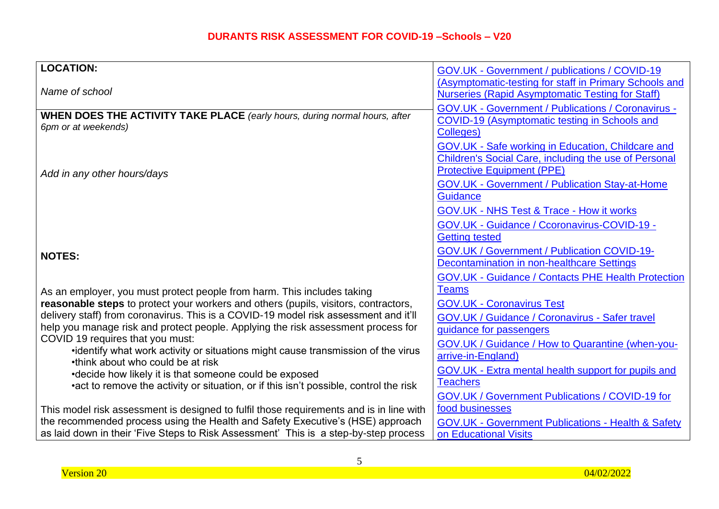| <b>LOCATION:</b>                                                                                                                                                       | GOV.UK - Government / publications / COVID-19                      |
|------------------------------------------------------------------------------------------------------------------------------------------------------------------------|--------------------------------------------------------------------|
|                                                                                                                                                                        | (Asymptomatic-testing for staff in Primary Schools and             |
| Name of school                                                                                                                                                         | <b>Nurseries (Rapid Asymptomatic Testing for Staff)</b>            |
|                                                                                                                                                                        | <b>GOV.UK - Government / Publications / Coronavirus -</b>          |
| <b>WHEN DOES THE ACTIVITY TAKE PLACE</b> (early hours, during normal hours, after                                                                                      | COVID-19 (Asymptomatic testing in Schools and                      |
| 6pm or at weekends)                                                                                                                                                    | Colleges)                                                          |
|                                                                                                                                                                        | <b>GOV.UK - Safe working in Education, Childcare and</b>           |
|                                                                                                                                                                        | Children's Social Care, including the use of Personal              |
| Add in any other hours/days                                                                                                                                            | <b>Protective Equipment (PPE)</b>                                  |
|                                                                                                                                                                        | <b>GOV.UK - Government / Publication Stay-at-Home</b>              |
|                                                                                                                                                                        | Guidance                                                           |
|                                                                                                                                                                        | <b>GOV.UK - NHS Test &amp; Trace - How it works</b>                |
|                                                                                                                                                                        | GOV.UK - Guidance / Ccoronavirus-COVID-19 -                        |
|                                                                                                                                                                        | <b>Getting tested</b>                                              |
|                                                                                                                                                                        | GOV.UK / Government / Publication COVID-19-                        |
| <b>NOTES:</b>                                                                                                                                                          | <b>Decontamination in non-healthcare Settings</b>                  |
|                                                                                                                                                                        | <b>GOV.UK - Guidance / Contacts PHE Health Protection</b>          |
| As an employer, you must protect people from harm. This includes taking                                                                                                | <b>Teams</b>                                                       |
| reasonable steps to protect your workers and others (pupils, visitors, contractors,                                                                                    | <b>GOV.UK - Coronavirus Test</b>                                   |
| delivery staff) from coronavirus. This is a COVID-19 model risk assessment and it'll                                                                                   | <b>GOV.UK / Guidance / Coronavirus - Safer travel</b>              |
| help you manage risk and protect people. Applying the risk assessment process for                                                                                      | quidance for passengers                                            |
| COVID 19 requires that you must:                                                                                                                                       | GOV.UK / Guidance / How to Quarantine (when-you-                   |
| •identify what work activity or situations might cause transmission of the virus                                                                                       | arrive-in-England)                                                 |
| •think about who could be at risk                                                                                                                                      | GOV.UK - Extra mental health support for pupils and                |
| •decide how likely it is that someone could be exposed                                                                                                                 | <b>Teachers</b>                                                    |
| •act to remove the activity or situation, or if this isn't possible, control the risk                                                                                  |                                                                    |
|                                                                                                                                                                        | GOV.UK / Government Publications / COVID-19 for<br>food businesses |
| This model risk assessment is designed to fulfil those requirements and is in line with                                                                                |                                                                    |
| the recommended process using the Health and Safety Executive's (HSE) approach<br>as laid down in their 'Five Steps to Risk Assessment' This is a step-by-step process | <b>GOV.UK - Government Publications - Health &amp; Safety</b>      |
|                                                                                                                                                                        | on Educational Visits                                              |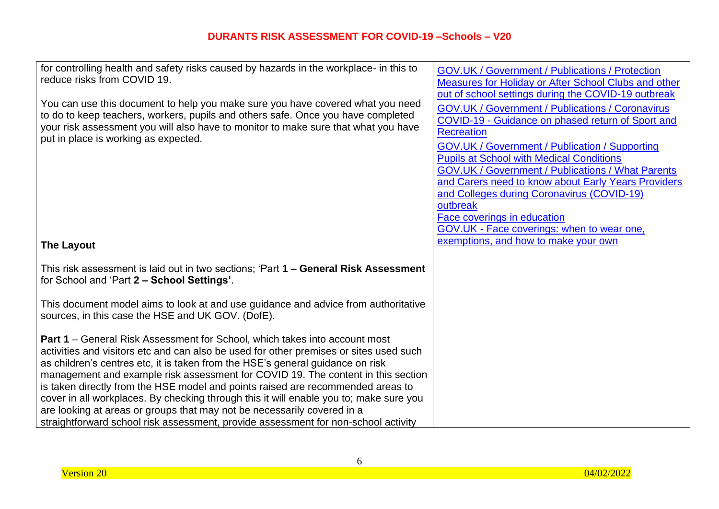| for controlling health and safety risks caused by hazards in the workplace- in this to<br>reduce risks from COVID 19.<br>You can use this document to help you make sure you have covered what you need<br>to do to keep teachers, workers, pupils and others safe. Once you have completed<br>your risk assessment you will also have to monitor to make sure that what you have<br>put in place is working as expected.                                                                                                                                                                                                                                                                       | <b>GOV.UK / Government / Publications / Protection</b><br><b>Measures for Holiday or After School Clubs and other</b><br>out of school settings during the COVID-19 outbreak<br><b>GOV.UK / Government / Publications / Coronavirus</b><br>COVID-19 - Guidance on phased return of Sport and<br><b>Recreation</b><br><b>GOV.UK / Government / Publication / Supporting</b><br><b>Pupils at School with Medical Conditions</b><br><b>GOV.UK / Government / Publications / What Parents</b><br>and Carers need to know about Early Years Providers<br>and Colleges during Coronavirus (COVID-19)<br>outbreak<br>Face coverings in education |
|-------------------------------------------------------------------------------------------------------------------------------------------------------------------------------------------------------------------------------------------------------------------------------------------------------------------------------------------------------------------------------------------------------------------------------------------------------------------------------------------------------------------------------------------------------------------------------------------------------------------------------------------------------------------------------------------------|-------------------------------------------------------------------------------------------------------------------------------------------------------------------------------------------------------------------------------------------------------------------------------------------------------------------------------------------------------------------------------------------------------------------------------------------------------------------------------------------------------------------------------------------------------------------------------------------------------------------------------------------|
|                                                                                                                                                                                                                                                                                                                                                                                                                                                                                                                                                                                                                                                                                                 | GOV.UK - Face coverings: when to wear one,                                                                                                                                                                                                                                                                                                                                                                                                                                                                                                                                                                                                |
| <b>The Layout</b>                                                                                                                                                                                                                                                                                                                                                                                                                                                                                                                                                                                                                                                                               | exemptions, and how to make your own                                                                                                                                                                                                                                                                                                                                                                                                                                                                                                                                                                                                      |
| This risk assessment is laid out in two sections; 'Part 1 – General Risk Assessment<br>for School and 'Part 2 - School Settings'.                                                                                                                                                                                                                                                                                                                                                                                                                                                                                                                                                               |                                                                                                                                                                                                                                                                                                                                                                                                                                                                                                                                                                                                                                           |
| This document model aims to look at and use guidance and advice from authoritative<br>sources, in this case the HSE and UK GOV. (DofE).                                                                                                                                                                                                                                                                                                                                                                                                                                                                                                                                                         |                                                                                                                                                                                                                                                                                                                                                                                                                                                                                                                                                                                                                                           |
| <b>Part 1</b> – General Risk Assessment for School, which takes into account most<br>activities and visitors etc and can also be used for other premises or sites used such<br>as children's centres etc, it is taken from the HSE's general guidance on risk<br>management and example risk assessment for COVID 19. The content in this section<br>is taken directly from the HSE model and points raised are recommended areas to<br>cover in all workplaces. By checking through this it will enable you to; make sure you<br>are looking at areas or groups that may not be necessarily covered in a<br>straightforward school risk assessment, provide assessment for non-school activity |                                                                                                                                                                                                                                                                                                                                                                                                                                                                                                                                                                                                                                           |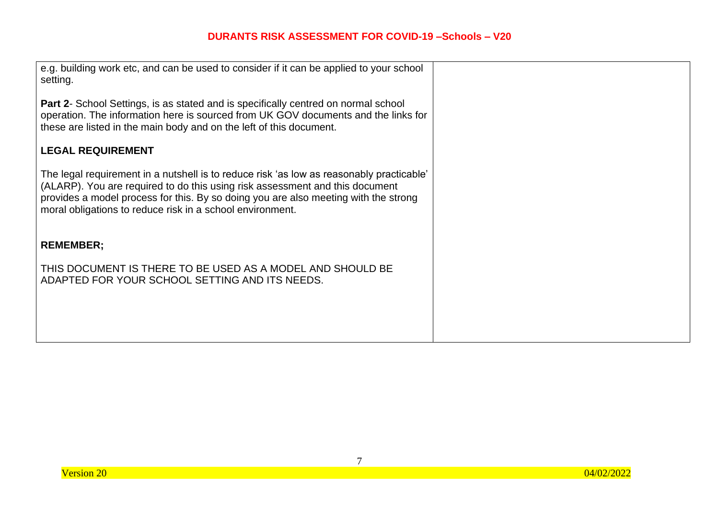| e.g. building work etc, and can be used to consider if it can be applied to your school<br>setting.                                                                                                                                                                                                                          |  |
|------------------------------------------------------------------------------------------------------------------------------------------------------------------------------------------------------------------------------------------------------------------------------------------------------------------------------|--|
| <b>Part 2-</b> School Settings, is as stated and is specifically centred on normal school<br>operation. The information here is sourced from UK GOV documents and the links for<br>these are listed in the main body and on the left of this document.                                                                       |  |
| <b>LEGAL REQUIREMENT</b>                                                                                                                                                                                                                                                                                                     |  |
| The legal requirement in a nutshell is to reduce risk 'as low as reasonably practicable'<br>(ALARP). You are required to do this using risk assessment and this document<br>provides a model process for this. By so doing you are also meeting with the strong<br>moral obligations to reduce risk in a school environment. |  |
| <b>REMEMBER:</b>                                                                                                                                                                                                                                                                                                             |  |
| THIS DOCUMENT IS THERE TO BE USED AS A MODEL AND SHOULD BE<br>ADAPTED FOR YOUR SCHOOL SETTING AND ITS NEEDS.                                                                                                                                                                                                                 |  |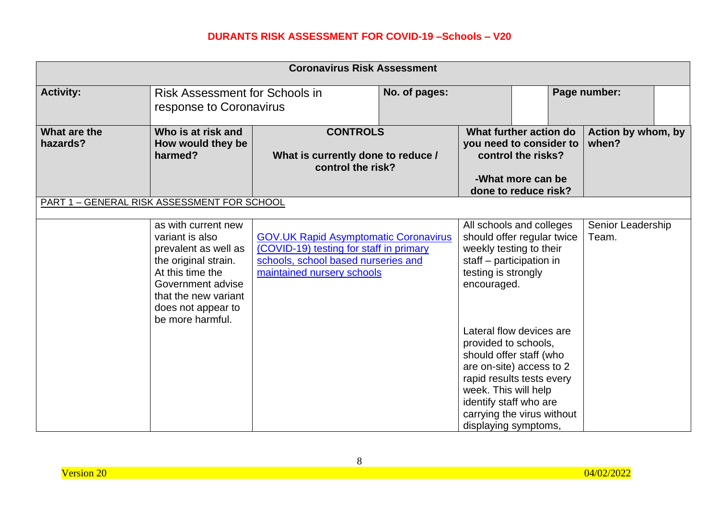| <b>Coronavirus Risk Assessment</b>          |                                                                                                                                                                                                   |                                                                                                                                                              |               |                                                                                                |                                                                                                                      |                             |  |
|---------------------------------------------|---------------------------------------------------------------------------------------------------------------------------------------------------------------------------------------------------|--------------------------------------------------------------------------------------------------------------------------------------------------------------|---------------|------------------------------------------------------------------------------------------------|----------------------------------------------------------------------------------------------------------------------|-----------------------------|--|
| <b>Activity:</b>                            | Risk Assessment for Schools in<br>response to Coronavirus                                                                                                                                         |                                                                                                                                                              | No. of pages: |                                                                                                |                                                                                                                      | Page number:                |  |
| What are the<br>hazards?                    | Who is at risk and<br>How would they be<br>harmed?                                                                                                                                                | <b>CONTROLS</b><br>What is currently done to reduce /<br>control the risk?                                                                                   |               |                                                                                                | What further action do<br>you need to consider to<br>control the risks?<br>-What more can be<br>done to reduce risk? | Action by whom, by<br>when? |  |
| PART 1 - GENERAL RISK ASSESSMENT FOR SCHOOL |                                                                                                                                                                                                   |                                                                                                                                                              |               |                                                                                                |                                                                                                                      |                             |  |
|                                             | as with current new<br>variant is also<br>prevalent as well as<br>the original strain.<br>At this time the<br>Government advise<br>that the new variant<br>does not appear to<br>be more harmful. | <b>GOV.UK Rapid Asymptomatic Coronavirus</b><br>(COVID-19) testing for staff in primary<br>schools, school based nurseries and<br>maintained nursery schools |               | weekly testing to their<br>staff – participation in<br>testing is strongly<br>encouraged.      | All schools and colleges<br>should offer regular twice<br>Lateral flow devices are                                   | Senior Leadership<br>Team.  |  |
|                                             |                                                                                                                                                                                                   |                                                                                                                                                              |               | provided to schools,<br>week. This will help<br>identify staff who are<br>displaying symptoms, | should offer staff (who<br>are on-site) access to 2<br>rapid results tests every<br>carrying the virus without       |                             |  |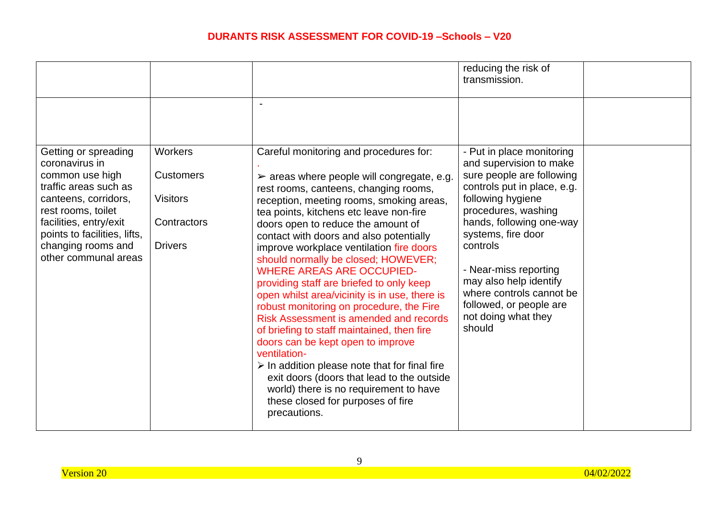|                                                                                                                                                                                                                                          |                                                                                        |                                                                                                                                                                                                                                                                                                                                                                                                                                                                                                                                                                                                                                                                   | reducing the risk of<br>transmission.                                                                                                                                                                                                                                                                                                                       |  |
|------------------------------------------------------------------------------------------------------------------------------------------------------------------------------------------------------------------------------------------|----------------------------------------------------------------------------------------|-------------------------------------------------------------------------------------------------------------------------------------------------------------------------------------------------------------------------------------------------------------------------------------------------------------------------------------------------------------------------------------------------------------------------------------------------------------------------------------------------------------------------------------------------------------------------------------------------------------------------------------------------------------------|-------------------------------------------------------------------------------------------------------------------------------------------------------------------------------------------------------------------------------------------------------------------------------------------------------------------------------------------------------------|--|
| Getting or spreading<br>coronavirus in<br>common use high<br>traffic areas such as<br>canteens, corridors,<br>rest rooms, toilet<br>facilities, entry/exit<br>points to facilities, lifts,<br>changing rooms and<br>other communal areas | <b>Workers</b><br><b>Customers</b><br><b>Visitors</b><br>Contractors<br><b>Drivers</b> | $\overline{\phantom{a}}$<br>Careful monitoring and procedures for:<br>$\triangleright$ areas where people will congregate, e.g.<br>rest rooms, canteens, changing rooms,<br>reception, meeting rooms, smoking areas,<br>tea points, kitchens etc leave non-fire<br>doors open to reduce the amount of<br>contact with doors and also potentially<br>improve workplace ventilation fire doors<br>should normally be closed; HOWEVER;<br><b>WHERE AREAS ARE OCCUPIED-</b><br>providing staff are briefed to only keep<br>open whilst area/vicinity is in use, there is<br>robust monitoring on procedure, the Fire<br><b>Risk Assessment is amended and records</b> | - Put in place monitoring<br>and supervision to make<br>sure people are following<br>controls put in place, e.g.<br>following hygiene<br>procedures, washing<br>hands, following one-way<br>systems, fire door<br>controls<br>- Near-miss reporting<br>may also help identify<br>where controls cannot be<br>followed, or people are<br>not doing what they |  |
|                                                                                                                                                                                                                                          |                                                                                        | of briefing to staff maintained, then fire<br>doors can be kept open to improve<br>ventilation-<br>$\triangleright$ In addition please note that for final fire<br>exit doors (doors that lead to the outside<br>world) there is no requirement to have<br>these closed for purposes of fire<br>precautions.                                                                                                                                                                                                                                                                                                                                                      | should                                                                                                                                                                                                                                                                                                                                                      |  |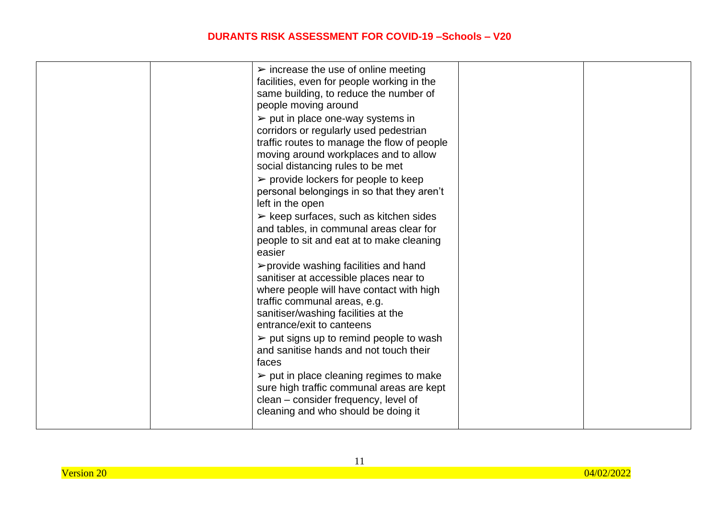| $\triangleright$ increase the use of online meeting<br>facilities, even for people working in the<br>same building, to reduce the number of<br>people moving around<br>$\triangleright$ put in place one-way systems in<br>corridors or regularly used pedestrian<br>traffic routes to manage the flow of people<br>moving around workplaces and to allow<br>social distancing rules to be met<br>$\triangleright$ provide lockers for people to keep<br>personal belongings in so that they aren't<br>left in the open<br>$\triangleright$ keep surfaces, such as kitchen sides<br>and tables, in communal areas clear for<br>people to sit and eat at to make cleaning<br>easier<br>≻provide washing facilities and hand<br>sanitiser at accessible places near to<br>where people will have contact with high<br>traffic communal areas, e.g.<br>sanitiser/washing facilities at the<br>entrance/exit to canteens<br>$\triangleright$ put signs up to remind people to wash<br>and sanitise hands and not touch their<br>faces |  |
|-----------------------------------------------------------------------------------------------------------------------------------------------------------------------------------------------------------------------------------------------------------------------------------------------------------------------------------------------------------------------------------------------------------------------------------------------------------------------------------------------------------------------------------------------------------------------------------------------------------------------------------------------------------------------------------------------------------------------------------------------------------------------------------------------------------------------------------------------------------------------------------------------------------------------------------------------------------------------------------------------------------------------------------|--|
| $\triangleright$ put in place cleaning regimes to make<br>sure high traffic communal areas are kept<br>clean – consider frequency, level of<br>cleaning and who should be doing it                                                                                                                                                                                                                                                                                                                                                                                                                                                                                                                                                                                                                                                                                                                                                                                                                                                |  |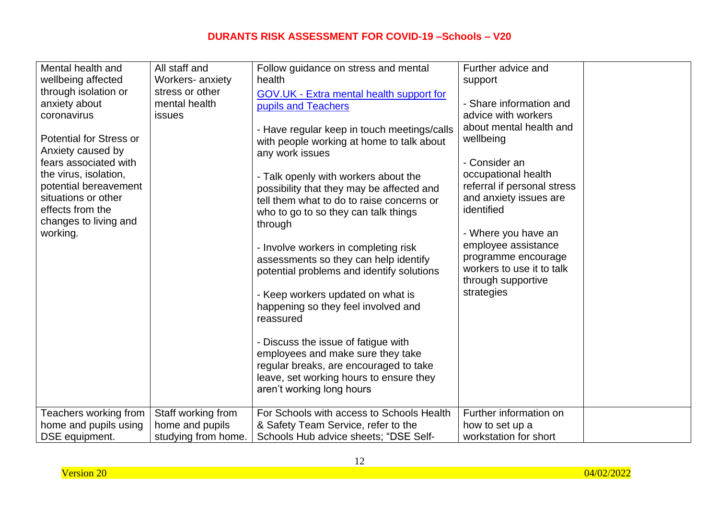| Mental health and<br>wellbeing affected<br>through isolation or<br>anxiety about<br>coronavirus<br><b>Potential for Stress or</b><br>Anxiety caused by<br>fears associated with<br>the virus, isolation,<br>potential bereavement<br>situations or other<br>effects from the<br>changes to living and<br>working.<br>Teachers working from | All staff and<br>Workers- anxiety<br>stress or other<br>mental health<br><b>issues</b><br>Staff working from | Follow guidance on stress and mental<br>health<br>GOV.UK - Extra mental health support for<br>pupils and Teachers<br>- Have regular keep in touch meetings/calls<br>with people working at home to talk about<br>any work issues<br>- Talk openly with workers about the<br>possibility that they may be affected and<br>tell them what to do to raise concerns or<br>who to go to so they can talk things<br>through<br>- Involve workers in completing risk<br>assessments so they can help identify<br>potential problems and identify solutions<br>- Keep workers updated on what is<br>happening so they feel involved and<br>reassured<br>- Discuss the issue of fatigue with<br>employees and make sure they take<br>regular breaks, are encouraged to take<br>leave, set working hours to ensure they<br>aren't working long hours<br>For Schools with access to Schools Health | Further advice and<br>support<br>- Share information and<br>advice with workers<br>about mental health and<br>wellbeing<br>- Consider an<br>occupational health<br>referral if personal stress<br>and anxiety issues are<br>identified<br>- Where you have an<br>employee assistance<br>programme encourage<br>workers to use it to talk<br>through supportive<br>strategies<br>Further information on |  |
|--------------------------------------------------------------------------------------------------------------------------------------------------------------------------------------------------------------------------------------------------------------------------------------------------------------------------------------------|--------------------------------------------------------------------------------------------------------------|-----------------------------------------------------------------------------------------------------------------------------------------------------------------------------------------------------------------------------------------------------------------------------------------------------------------------------------------------------------------------------------------------------------------------------------------------------------------------------------------------------------------------------------------------------------------------------------------------------------------------------------------------------------------------------------------------------------------------------------------------------------------------------------------------------------------------------------------------------------------------------------------|--------------------------------------------------------------------------------------------------------------------------------------------------------------------------------------------------------------------------------------------------------------------------------------------------------------------------------------------------------------------------------------------------------|--|
| home and pupils using                                                                                                                                                                                                                                                                                                                      | home and pupils                                                                                              | & Safety Team Service, refer to the                                                                                                                                                                                                                                                                                                                                                                                                                                                                                                                                                                                                                                                                                                                                                                                                                                                     | how to set up a                                                                                                                                                                                                                                                                                                                                                                                        |  |
| DSE equipment.                                                                                                                                                                                                                                                                                                                             | studying from home.                                                                                          | Schools Hub advice sheets; "DSE Self-                                                                                                                                                                                                                                                                                                                                                                                                                                                                                                                                                                                                                                                                                                                                                                                                                                                   | workstation for short                                                                                                                                                                                                                                                                                                                                                                                  |  |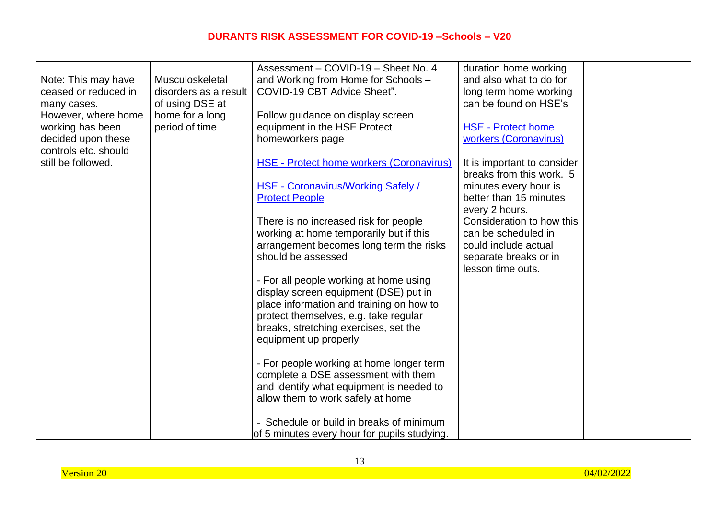|                      |                       | Assessment - COVID-19 - Sheet No. 4                                             | duration home working       |  |
|----------------------|-----------------------|---------------------------------------------------------------------------------|-----------------------------|--|
| Note: This may have  | Musculoskeletal       | and Working from Home for Schools -                                             | and also what to do for     |  |
| ceased or reduced in | disorders as a result | COVID-19 CBT Advice Sheet".                                                     | long term home working      |  |
| many cases.          | of using DSE at       |                                                                                 | can be found on HSE's       |  |
| However, where home  | home for a long       | Follow guidance on display screen                                               |                             |  |
| working has been     | period of time        | equipment in the HSE Protect                                                    | <b>HSE - Protect home</b>   |  |
| decided upon these   |                       | homeworkers page                                                                | workers (Coronavirus)       |  |
| controls etc. should |                       |                                                                                 |                             |  |
| still be followed.   |                       | <b>HSE - Protect home workers (Coronavirus)</b>                                 | It is important to consider |  |
|                      |                       |                                                                                 | breaks from this work. 5    |  |
|                      |                       | <b>HSE - Coronavirus/Working Safely /</b>                                       | minutes every hour is       |  |
|                      |                       | <b>Protect People</b>                                                           | better than 15 minutes      |  |
|                      |                       |                                                                                 | every 2 hours.              |  |
|                      |                       | There is no increased risk for people                                           | Consideration to how this   |  |
|                      |                       | working at home temporarily but if this                                         | can be scheduled in         |  |
|                      |                       | arrangement becomes long term the risks                                         | could include actual        |  |
|                      |                       | should be assessed                                                              | separate breaks or in       |  |
|                      |                       |                                                                                 | lesson time outs.           |  |
|                      |                       | - For all people working at home using                                          |                             |  |
|                      |                       | display screen equipment (DSE) put in                                           |                             |  |
|                      |                       | place information and training on how to                                        |                             |  |
|                      |                       | protect themselves, e.g. take regular                                           |                             |  |
|                      |                       | breaks, stretching exercises, set the                                           |                             |  |
|                      |                       | equipment up properly                                                           |                             |  |
|                      |                       |                                                                                 |                             |  |
|                      |                       | - For people working at home longer term                                        |                             |  |
|                      |                       | complete a DSE assessment with them<br>and identify what equipment is needed to |                             |  |
|                      |                       | allow them to work safely at home                                               |                             |  |
|                      |                       |                                                                                 |                             |  |
|                      |                       | Schedule or build in breaks of minimum                                          |                             |  |
|                      |                       | of 5 minutes every hour for pupils studying.                                    |                             |  |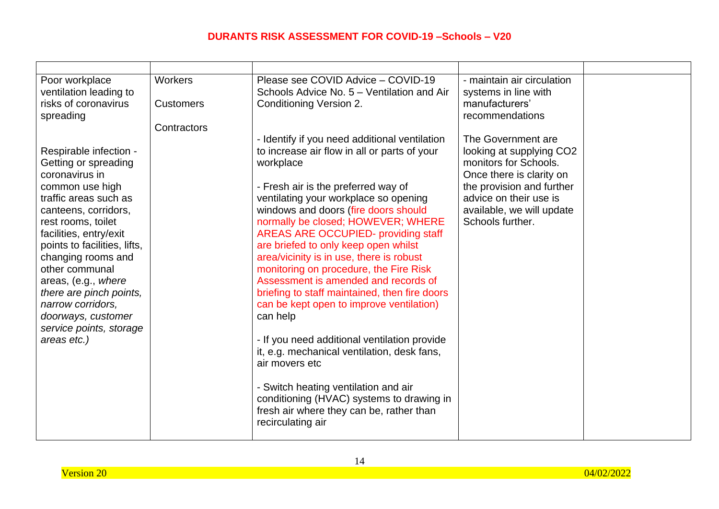| Poor workplace<br>ventilation leading to<br>risks of coronavirus<br>spreading                                                                                                                                                                                                                                                                                                                       | Workers<br><b>Customers</b><br>Contractors | Please see COVID Advice - COVID-19<br>Schools Advice No. 5 – Ventilation and Air<br><b>Conditioning Version 2.</b>                                                                                                                                                                                                                                                                                                                                                                                                                                                                                                                                                                                                                                                                                                                                                           | - maintain air circulation<br>systems in line with<br>manufacturers'<br>recommendations                                                                                                                     |  |
|-----------------------------------------------------------------------------------------------------------------------------------------------------------------------------------------------------------------------------------------------------------------------------------------------------------------------------------------------------------------------------------------------------|--------------------------------------------|------------------------------------------------------------------------------------------------------------------------------------------------------------------------------------------------------------------------------------------------------------------------------------------------------------------------------------------------------------------------------------------------------------------------------------------------------------------------------------------------------------------------------------------------------------------------------------------------------------------------------------------------------------------------------------------------------------------------------------------------------------------------------------------------------------------------------------------------------------------------------|-------------------------------------------------------------------------------------------------------------------------------------------------------------------------------------------------------------|--|
| Respirable infection -<br>Getting or spreading<br>coronavirus in<br>common use high<br>traffic areas such as<br>canteens, corridors,<br>rest rooms, toilet<br>facilities, entry/exit<br>points to facilities, lifts,<br>changing rooms and<br>other communal<br>areas, (e.g., where<br>there are pinch points,<br>narrow corridors,<br>doorways, customer<br>service points, storage<br>areas etc.) |                                            | - Identify if you need additional ventilation<br>to increase air flow in all or parts of your<br>workplace<br>- Fresh air is the preferred way of<br>ventilating your workplace so opening<br>windows and doors (fire doors should<br>normally be closed; HOWEVER; WHERE<br><b>AREAS ARE OCCUPIED- providing staff</b><br>are briefed to only keep open whilst<br>area/vicinity is in use, there is robust<br>monitoring on procedure, the Fire Risk<br>Assessment is amended and records of<br>briefing to staff maintained, then fire doors<br>can be kept open to improve ventilation)<br>can help<br>- If you need additional ventilation provide<br>it, e.g. mechanical ventilation, desk fans,<br>air movers etc<br>- Switch heating ventilation and air<br>conditioning (HVAC) systems to drawing in<br>fresh air where they can be, rather than<br>recirculating air | The Government are<br>looking at supplying CO2<br>monitors for Schools.<br>Once there is clarity on<br>the provision and further<br>advice on their use is<br>available, we will update<br>Schools further. |  |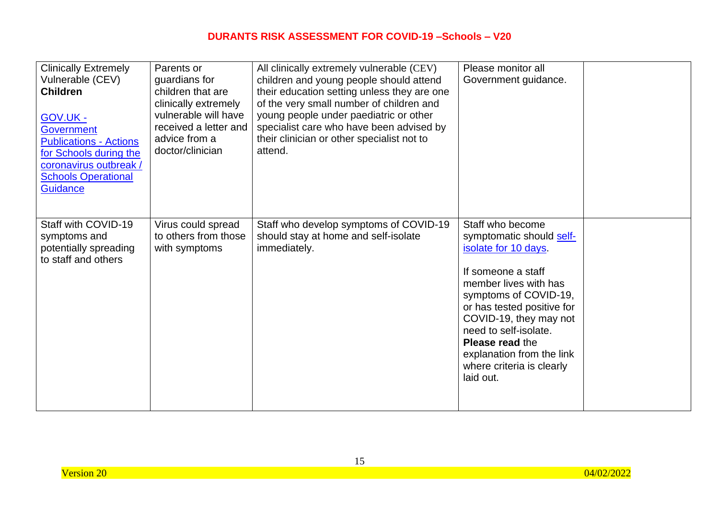| <b>Clinically Extremely</b><br>Vulnerable (CEV)<br><b>Children</b><br><b>GOV.UK -</b><br><b>Government</b><br><b>Publications - Actions</b><br>for Schools during the<br>coronavirus outbreak /<br><b>Schools Operational</b><br><b>Guidance</b> | Parents or<br>guardians for<br>children that are<br>clinically extremely<br>vulnerable will have<br>received a letter and<br>advice from a<br>doctor/clinician | All clinically extremely vulnerable (CEV)<br>children and young people should attend<br>their education setting unless they are one<br>of the very small number of children and<br>young people under paediatric or other<br>specialist care who have been advised by<br>their clinician or other specialist not to<br>attend. | Please monitor all<br>Government guidance.                                                                                                                                                                                                                                                                                     |  |
|--------------------------------------------------------------------------------------------------------------------------------------------------------------------------------------------------------------------------------------------------|----------------------------------------------------------------------------------------------------------------------------------------------------------------|--------------------------------------------------------------------------------------------------------------------------------------------------------------------------------------------------------------------------------------------------------------------------------------------------------------------------------|--------------------------------------------------------------------------------------------------------------------------------------------------------------------------------------------------------------------------------------------------------------------------------------------------------------------------------|--|
| Staff with COVID-19<br>symptoms and<br>potentially spreading<br>to staff and others                                                                                                                                                              | Virus could spread<br>to others from those<br>with symptoms                                                                                                    | Staff who develop symptoms of COVID-19<br>should stay at home and self-isolate<br>immediately.                                                                                                                                                                                                                                 | Staff who become<br>symptomatic should self-<br>isolate for 10 days.<br>If someone a staff<br>member lives with has<br>symptoms of COVID-19,<br>or has tested positive for<br>COVID-19, they may not<br>need to self-isolate.<br><b>Please read the</b><br>explanation from the link<br>where criteria is clearly<br>laid out. |  |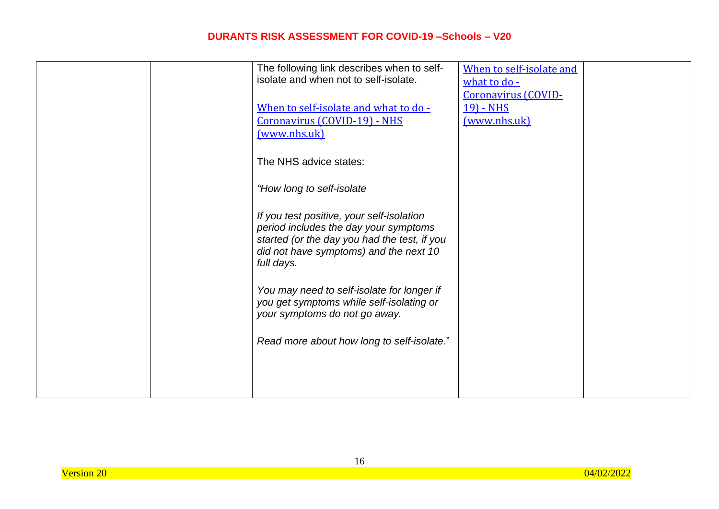| The following link describes when to self-   | When to self-isolate and |  |
|----------------------------------------------|--------------------------|--|
| isolate and when not to self-isolate.        | what to do -             |  |
|                                              | Coronavirus (COVID-      |  |
| When to self-isolate and what to do -        | 19) - NHS                |  |
| <b>Coronavirus (COVID-19) - NHS</b>          | (www.nhs.uk)             |  |
| (www.nhs.uk)                                 |                          |  |
|                                              |                          |  |
| The NHS advice states:                       |                          |  |
|                                              |                          |  |
|                                              |                          |  |
| "How long to self-isolate                    |                          |  |
|                                              |                          |  |
| If you test positive, your self-isolation    |                          |  |
| period includes the day your symptoms        |                          |  |
| started (or the day you had the test, if you |                          |  |
| did not have symptoms) and the next 10       |                          |  |
| full days.                                   |                          |  |
|                                              |                          |  |
| You may need to self-isolate for longer if   |                          |  |
| you get symptoms while self-isolating or     |                          |  |
| your symptoms do not go away.                |                          |  |
|                                              |                          |  |
| Read more about how long to self-isolate."   |                          |  |
|                                              |                          |  |
|                                              |                          |  |
|                                              |                          |  |
|                                              |                          |  |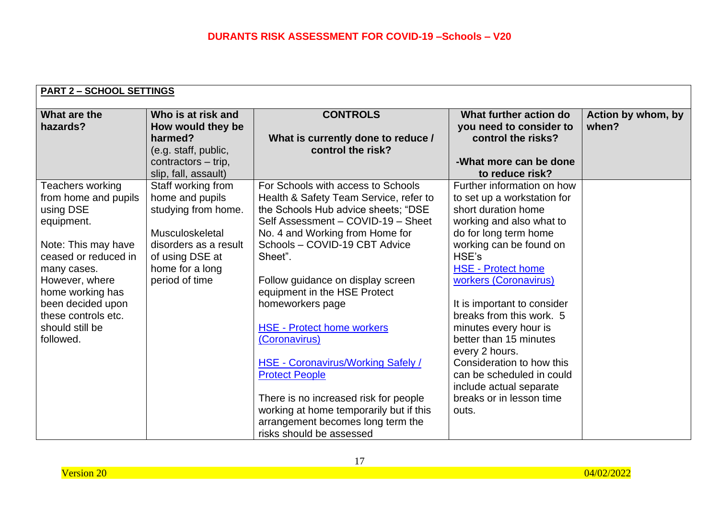| <b>PART 2 - SCHOOL SETTINGS</b>                                                                                                                                                                                                                     |                                                                                                                                                                  |                                                                                                                                                                                                                                                                                                                                                                                                                                                                                                                                                                                                                    |                                                                                                                                                                                                                                                                                                                                                                                                                                                                                           |                             |  |
|-----------------------------------------------------------------------------------------------------------------------------------------------------------------------------------------------------------------------------------------------------|------------------------------------------------------------------------------------------------------------------------------------------------------------------|--------------------------------------------------------------------------------------------------------------------------------------------------------------------------------------------------------------------------------------------------------------------------------------------------------------------------------------------------------------------------------------------------------------------------------------------------------------------------------------------------------------------------------------------------------------------------------------------------------------------|-------------------------------------------------------------------------------------------------------------------------------------------------------------------------------------------------------------------------------------------------------------------------------------------------------------------------------------------------------------------------------------------------------------------------------------------------------------------------------------------|-----------------------------|--|
| What are the<br>hazards?                                                                                                                                                                                                                            | Who is at risk and<br>How would they be<br>harmed?<br>(e.g. staff, public,<br>contractors - trip,<br>slip, fall, assault)                                        | <b>CONTROLS</b><br>What is currently done to reduce /<br>control the risk?                                                                                                                                                                                                                                                                                                                                                                                                                                                                                                                                         | What further action do<br>you need to consider to<br>control the risks?<br>-What more can be done<br>to reduce risk?                                                                                                                                                                                                                                                                                                                                                                      | Action by whom, by<br>when? |  |
| Teachers working<br>from home and pupils<br>using DSE<br>equipment.<br>Note: This may have<br>ceased or reduced in<br>many cases.<br>However, where<br>home working has<br>been decided upon<br>these controls etc.<br>should still be<br>followed. | Staff working from<br>home and pupils<br>studying from home.<br>Musculoskeletal<br>disorders as a result<br>of using DSE at<br>home for a long<br>period of time | For Schools with access to Schools<br>Health & Safety Team Service, refer to<br>the Schools Hub advice sheets; "DSE<br>Self Assessment - COVID-19 - Sheet<br>No. 4 and Working from Home for<br>Schools - COVID-19 CBT Advice<br>Sheet".<br>Follow guidance on display screen<br>equipment in the HSE Protect<br>homeworkers page<br><b>HSE - Protect home workers</b><br>(Coronavirus)<br><b>HSE - Coronavirus/Working Safely /</b><br><b>Protect People</b><br>There is no increased risk for people<br>working at home temporarily but if this<br>arrangement becomes long term the<br>risks should be assessed | Further information on how<br>to set up a workstation for<br>short duration home<br>working and also what to<br>do for long term home<br>working can be found on<br>HSE's<br><b>HSE - Protect home</b><br>workers (Coronavirus)<br>It is important to consider<br>breaks from this work. 5<br>minutes every hour is<br>better than 15 minutes<br>every 2 hours.<br>Consideration to how this<br>can be scheduled in could<br>include actual separate<br>breaks or in lesson time<br>outs. |                             |  |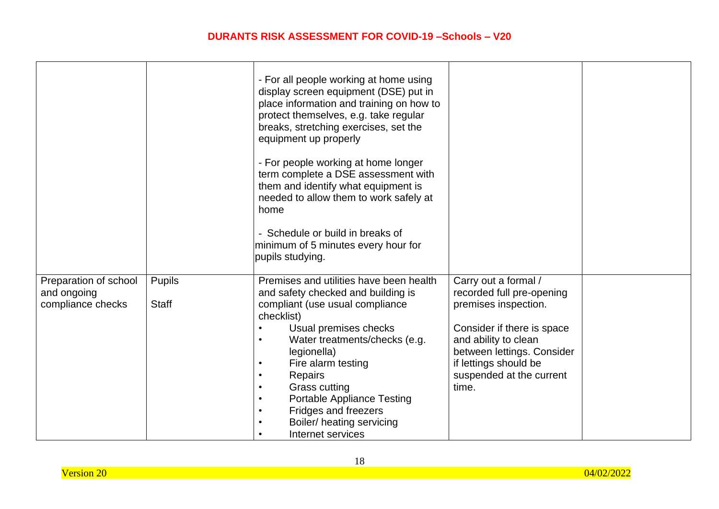|                       |               | - For all people working at home using<br>display screen equipment (DSE) put in<br>place information and training on how to<br>protect themselves, e.g. take regular<br>breaks, stretching exercises, set the<br>equipment up properly<br>- For people working at home longer<br>term complete a DSE assessment with<br>them and identify what equipment is<br>needed to allow them to work safely at<br>home<br>- Schedule or build in breaks of<br>minimum of 5 minutes every hour for<br>pupils studying. |                                                    |  |
|-----------------------|---------------|--------------------------------------------------------------------------------------------------------------------------------------------------------------------------------------------------------------------------------------------------------------------------------------------------------------------------------------------------------------------------------------------------------------------------------------------------------------------------------------------------------------|----------------------------------------------------|--|
| Preparation of school | <b>Pupils</b> | Premises and utilities have been health                                                                                                                                                                                                                                                                                                                                                                                                                                                                      | Carry out a formal /                               |  |
| and ongoing           |               | and safety checked and building is                                                                                                                                                                                                                                                                                                                                                                                                                                                                           | recorded full pre-opening                          |  |
| compliance checks     | <b>Staff</b>  | compliant (use usual compliance                                                                                                                                                                                                                                                                                                                                                                                                                                                                              | premises inspection.                               |  |
|                       |               | checklist)                                                                                                                                                                                                                                                                                                                                                                                                                                                                                                   |                                                    |  |
|                       |               | Usual premises checks<br>$\bullet$                                                                                                                                                                                                                                                                                                                                                                                                                                                                           | Consider if there is space                         |  |
|                       |               | Water treatments/checks (e.g.<br>$\bullet$<br>legionella)                                                                                                                                                                                                                                                                                                                                                                                                                                                    | and ability to clean<br>between lettings. Consider |  |
|                       |               | Fire alarm testing<br>$\bullet$                                                                                                                                                                                                                                                                                                                                                                                                                                                                              | if lettings should be                              |  |
|                       |               | <b>Repairs</b><br>$\bullet$                                                                                                                                                                                                                                                                                                                                                                                                                                                                                  | suspended at the current                           |  |
|                       |               | <b>Grass cutting</b><br>$\bullet$                                                                                                                                                                                                                                                                                                                                                                                                                                                                            | time.                                              |  |
|                       |               | <b>Portable Appliance Testing</b><br>$\bullet$                                                                                                                                                                                                                                                                                                                                                                                                                                                               |                                                    |  |
|                       |               | Fridges and freezers                                                                                                                                                                                                                                                                                                                                                                                                                                                                                         |                                                    |  |
|                       |               | Boiler/ heating servicing                                                                                                                                                                                                                                                                                                                                                                                                                                                                                    |                                                    |  |
|                       |               | Internet services<br>$\bullet$                                                                                                                                                                                                                                                                                                                                                                                                                                                                               |                                                    |  |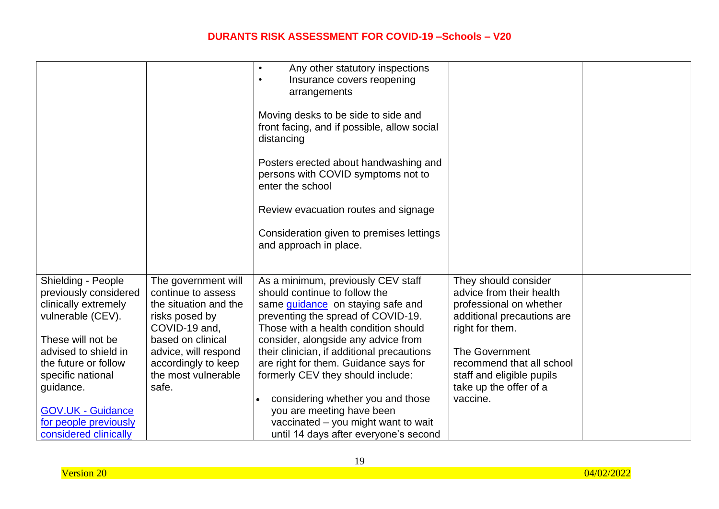|                          |                                           | Any other statutory inspections<br>Insurance covers reopening                                    |                            |  |
|--------------------------|-------------------------------------------|--------------------------------------------------------------------------------------------------|----------------------------|--|
|                          |                                           | arrangements                                                                                     |                            |  |
|                          |                                           | Moving desks to be side to side and<br>front facing, and if possible, allow social<br>distancing |                            |  |
|                          |                                           | Posters erected about handwashing and<br>persons with COVID symptoms not to<br>enter the school  |                            |  |
|                          |                                           | Review evacuation routes and signage                                                             |                            |  |
|                          |                                           | Consideration given to premises lettings                                                         |                            |  |
|                          |                                           | and approach in place.                                                                           |                            |  |
| Shielding - People       | The government will                       | As a minimum, previously CEV staff                                                               | They should consider       |  |
| previously considered    | continue to assess                        | should continue to follow the                                                                    | advice from their health   |  |
| clinically extremely     | the situation and the                     | same <i>guidance</i> on staying safe and                                                         | professional on whether    |  |
| vulnerable (CEV).        | risks posed by                            | preventing the spread of COVID-19.                                                               | additional precautions are |  |
| These will not be        | COVID-19 and,                             | Those with a health condition should                                                             | right for them.            |  |
| advised to shield in     | based on clinical<br>advice, will respond | consider, alongside any advice from<br>their clinician, if additional precautions                | The Government             |  |
| the future or follow     | accordingly to keep                       | are right for them. Guidance says for                                                            | recommend that all school  |  |
| specific national        | the most vulnerable                       | formerly CEV they should include:                                                                | staff and eligible pupils  |  |
| guidance.                | safe.                                     |                                                                                                  | take up the offer of a     |  |
|                          |                                           | considering whether you and those                                                                | vaccine.                   |  |
| <b>GOV.UK - Guidance</b> |                                           | you are meeting have been                                                                        |                            |  |
| for people previously    |                                           | vaccinated – you might want to wait                                                              |                            |  |
| considered clinically    |                                           | until 14 days after everyone's second                                                            |                            |  |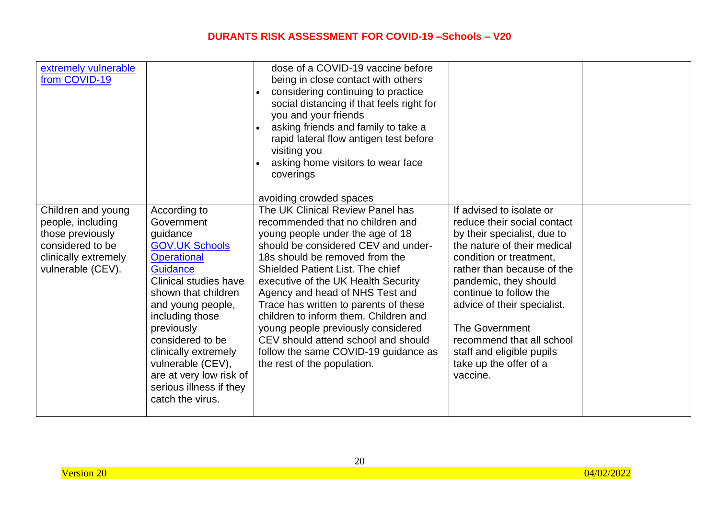| extremely vulnerable<br>from COVID-19                                                                                        |                                                                                                                                                                                                                                                                                                                                                    | dose of a COVID-19 vaccine before<br>being in close contact with others<br>considering continuing to practice<br>social distancing if that feels right for<br>you and your friends<br>asking friends and family to take a<br>rapid lateral flow antigen test before<br>visiting you<br>asking home visitors to wear face<br>coverings<br>avoiding crowded spaces                                                                                                                                                                             |                                                                                                                                                                                                                                                                                                                                                                                           |  |
|------------------------------------------------------------------------------------------------------------------------------|----------------------------------------------------------------------------------------------------------------------------------------------------------------------------------------------------------------------------------------------------------------------------------------------------------------------------------------------------|----------------------------------------------------------------------------------------------------------------------------------------------------------------------------------------------------------------------------------------------------------------------------------------------------------------------------------------------------------------------------------------------------------------------------------------------------------------------------------------------------------------------------------------------|-------------------------------------------------------------------------------------------------------------------------------------------------------------------------------------------------------------------------------------------------------------------------------------------------------------------------------------------------------------------------------------------|--|
| Children and young<br>people, including<br>those previously<br>considered to be<br>clinically extremely<br>vulnerable (CEV). | According to<br>Government<br>guidance<br><b>GOV.UK Schools</b><br><b>Operational</b><br>Guidance<br>Clinical studies have<br>shown that children<br>and young people,<br>including those<br>previously<br>considered to be<br>clinically extremely<br>vulnerable (CEV),<br>are at very low risk of<br>serious illness if they<br>catch the virus. | The UK Clinical Review Panel has<br>recommended that no children and<br>young people under the age of 18<br>should be considered CEV and under-<br>18s should be removed from the<br><b>Shielded Patient List. The chief</b><br>executive of the UK Health Security<br>Agency and head of NHS Test and<br>Trace has written to parents of these<br>children to inform them. Children and<br>young people previously considered<br>CEV should attend school and should<br>follow the same COVID-19 guidance as<br>the rest of the population. | If advised to isolate or<br>reduce their social contact<br>by their specialist, due to<br>the nature of their medical<br>condition or treatment,<br>rather than because of the<br>pandemic, they should<br>continue to follow the<br>advice of their specialist.<br><b>The Government</b><br>recommend that all school<br>staff and eligible pupils<br>take up the offer of a<br>vaccine. |  |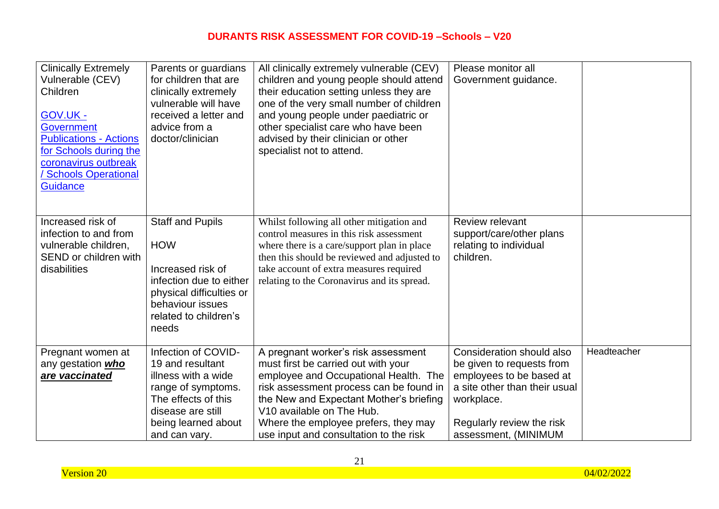| <b>Clinically Extremely</b><br>Vulnerable (CEV)<br>Children<br><b>GOV.UK -</b><br><b>Government</b><br><b>Publications - Actions</b><br>for Schools during the<br>coronavirus outbreak<br><b>Schools Operational</b><br><b>Guidance</b> | Parents or guardians<br>for children that are<br>clinically extremely<br>vulnerable will have<br>received a letter and<br>advice from a<br>doctor/clinician              | All clinically extremely vulnerable (CEV)<br>children and young people should attend<br>their education setting unless they are<br>one of the very small number of children<br>and young people under paediatric or<br>other specialist care who have been<br>advised by their clinician or other<br>specialist not to attend. | Please monitor all<br>Government guidance.                                                                                                                                             |             |
|-----------------------------------------------------------------------------------------------------------------------------------------------------------------------------------------------------------------------------------------|--------------------------------------------------------------------------------------------------------------------------------------------------------------------------|--------------------------------------------------------------------------------------------------------------------------------------------------------------------------------------------------------------------------------------------------------------------------------------------------------------------------------|----------------------------------------------------------------------------------------------------------------------------------------------------------------------------------------|-------------|
| Increased risk of<br>infection to and from<br>vulnerable children,<br>SEND or children with<br>disabilities                                                                                                                             | <b>Staff and Pupils</b><br><b>HOW</b><br>Increased risk of<br>infection due to either<br>physical difficulties or<br>behaviour issues<br>related to children's<br>needs  | Whilst following all other mitigation and<br>control measures in this risk assessment<br>where there is a care/support plan in place<br>then this should be reviewed and adjusted to<br>take account of extra measures required<br>relating to the Coronavirus and its spread.                                                 | Review relevant<br>support/care/other plans<br>relating to individual<br>children.                                                                                                     |             |
| Pregnant women at<br>any gestation who<br>are vaccinated                                                                                                                                                                                | Infection of COVID-<br>19 and resultant<br>illness with a wide<br>range of symptoms.<br>The effects of this<br>disease are still<br>being learned about<br>and can vary. | A pregnant worker's risk assessment<br>must first be carried out with your<br>employee and Occupational Health. The<br>risk assessment process can be found in<br>the New and Expectant Mother's briefing<br>V10 available on The Hub.<br>Where the employee prefers, they may<br>use input and consultation to the risk       | Consideration should also<br>be given to requests from<br>employees to be based at<br>a site other than their usual<br>workplace.<br>Regularly review the risk<br>assessment, (MINIMUM | Headteacher |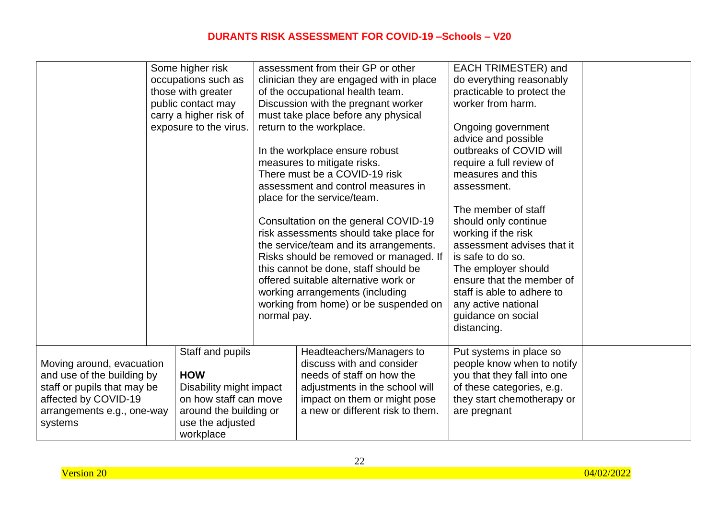|                                                                                                                                                         | Some higher risk<br>occupations such as<br>those with greater<br>public contact may<br>carry a higher risk of<br>exposure to the virus.       | normal pay. | assessment from their GP or other<br>clinician they are engaged with in place<br>of the occupational health team.<br>Discussion with the pregnant worker<br>must take place before any physical<br>return to the workplace.<br>In the workplace ensure robust<br>measures to mitigate risks.<br>There must be a COVID-19 risk<br>assessment and control measures in<br>place for the service/team.<br>Consultation on the general COVID-19<br>risk assessments should take place for<br>the service/team and its arrangements.<br>Risks should be removed or managed. If<br>this cannot be done, staff should be<br>offered suitable alternative work or<br>working arrangements (including<br>working from home) or be suspended on | EACH TRIMESTER) and<br>do everything reasonably<br>practicable to protect the<br>worker from harm.<br>Ongoing government<br>advice and possible<br>outbreaks of COVID will<br>require a full review of<br>measures and this<br>assessment.<br>The member of staff<br>should only continue<br>working if the risk<br>assessment advises that it<br>is safe to do so.<br>The employer should<br>ensure that the member of<br>staff is able to adhere to<br>any active national<br>guidance on social<br>distancing. |  |
|---------------------------------------------------------------------------------------------------------------------------------------------------------|-----------------------------------------------------------------------------------------------------------------------------------------------|-------------|--------------------------------------------------------------------------------------------------------------------------------------------------------------------------------------------------------------------------------------------------------------------------------------------------------------------------------------------------------------------------------------------------------------------------------------------------------------------------------------------------------------------------------------------------------------------------------------------------------------------------------------------------------------------------------------------------------------------------------------|-------------------------------------------------------------------------------------------------------------------------------------------------------------------------------------------------------------------------------------------------------------------------------------------------------------------------------------------------------------------------------------------------------------------------------------------------------------------------------------------------------------------|--|
| Moving around, evacuation<br>and use of the building by<br>staff or pupils that may be<br>affected by COVID-19<br>arrangements e.g., one-way<br>systems | Staff and pupils<br><b>HOW</b><br>Disability might impact<br>on how staff can move<br>around the building or<br>use the adjusted<br>workplace |             | Headteachers/Managers to<br>discuss with and consider<br>needs of staff on how the<br>adjustments in the school will<br>impact on them or might pose<br>a new or different risk to them.                                                                                                                                                                                                                                                                                                                                                                                                                                                                                                                                             | Put systems in place so<br>people know when to notify<br>you that they fall into one<br>of these categories, e.g.<br>they start chemotherapy or<br>are pregnant                                                                                                                                                                                                                                                                                                                                                   |  |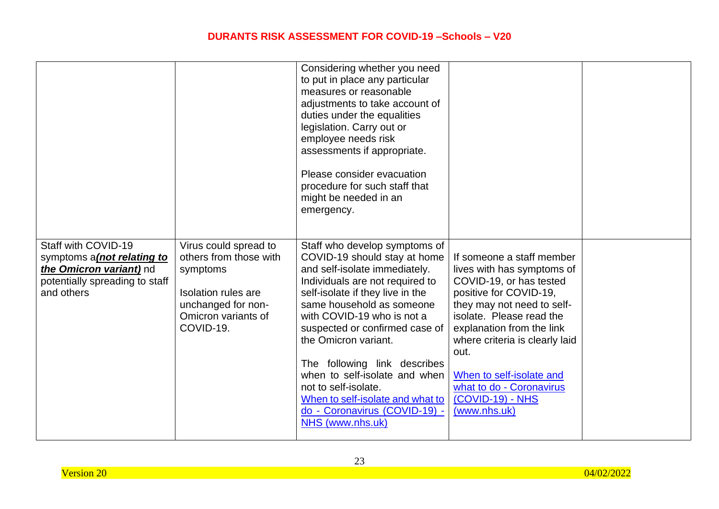|                                                                                                                                       |                                                                                                                                              | Considering whether you need<br>to put in place any particular<br>measures or reasonable<br>adjustments to take account of<br>duties under the equalities<br>legislation. Carry out or<br>employee needs risk<br>assessments if appropriate.<br>Please consider evacuation<br>procedure for such staff that<br>might be needed in an<br>emergency.                                                                                                                           |                                                                                                                                                                                                                                                                                                                                           |  |
|---------------------------------------------------------------------------------------------------------------------------------------|----------------------------------------------------------------------------------------------------------------------------------------------|------------------------------------------------------------------------------------------------------------------------------------------------------------------------------------------------------------------------------------------------------------------------------------------------------------------------------------------------------------------------------------------------------------------------------------------------------------------------------|-------------------------------------------------------------------------------------------------------------------------------------------------------------------------------------------------------------------------------------------------------------------------------------------------------------------------------------------|--|
| Staff with COVID-19<br>symptoms a (not relating to<br>the <b>Omicron variant</b> ) nd<br>potentially spreading to staff<br>and others | Virus could spread to<br>others from those with<br>symptoms<br>Isolation rules are<br>unchanged for non-<br>Omicron variants of<br>COVID-19. | Staff who develop symptoms of<br>COVID-19 should stay at home<br>and self-isolate immediately.<br>Individuals are not required to<br>self-isolate if they live in the<br>same household as someone<br>with COVID-19 who is not a<br>suspected or confirmed case of<br>the Omicron variant.<br>The following link describes<br>when to self-isolate and when<br>not to self-isolate.<br>When to self-isolate and what to<br>do - Coronavirus (COVID-19) -<br>NHS (www.nhs.uk) | If someone a staff member<br>lives with has symptoms of<br>COVID-19, or has tested<br>positive for COVID-19,<br>they may not need to self-<br>isolate. Please read the<br>explanation from the link<br>where criteria is clearly laid<br>out.<br>When to self-isolate and<br>what to do - Coronavirus<br>(COVID-19) - NHS<br>(www.nhs.uk) |  |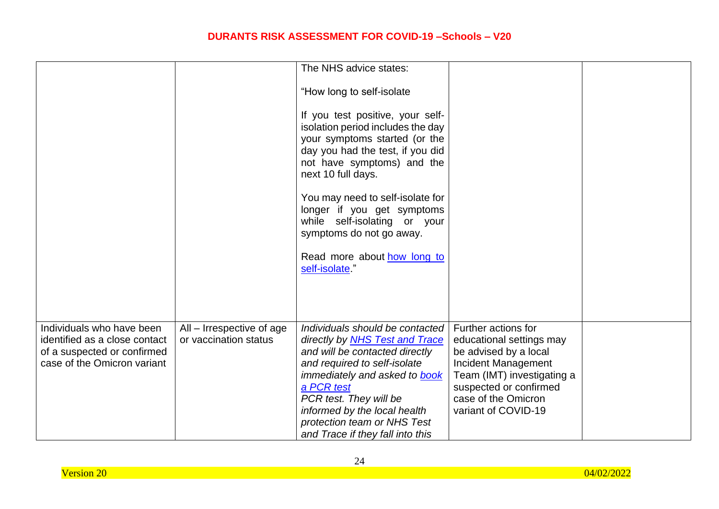|                                                                                                                          |                                                    | The NHS advice states:                                                                                                                                                                                                                                                                                                 |                                                                                                                                                                                                       |  |
|--------------------------------------------------------------------------------------------------------------------------|----------------------------------------------------|------------------------------------------------------------------------------------------------------------------------------------------------------------------------------------------------------------------------------------------------------------------------------------------------------------------------|-------------------------------------------------------------------------------------------------------------------------------------------------------------------------------------------------------|--|
|                                                                                                                          |                                                    | "How long to self-isolate                                                                                                                                                                                                                                                                                              |                                                                                                                                                                                                       |  |
|                                                                                                                          |                                                    | If you test positive, your self-<br>isolation period includes the day<br>your symptoms started (or the<br>day you had the test, if you did<br>not have symptoms) and the<br>next 10 full days.                                                                                                                         |                                                                                                                                                                                                       |  |
|                                                                                                                          |                                                    | You may need to self-isolate for<br>longer if you get symptoms<br>while self-isolating or your<br>symptoms do not go away.                                                                                                                                                                                             |                                                                                                                                                                                                       |  |
|                                                                                                                          |                                                    | Read more about how long to<br>self-isolate"                                                                                                                                                                                                                                                                           |                                                                                                                                                                                                       |  |
|                                                                                                                          |                                                    |                                                                                                                                                                                                                                                                                                                        |                                                                                                                                                                                                       |  |
| Individuals who have been<br>identified as a close contact<br>of a suspected or confirmed<br>case of the Omicron variant | All – Irrespective of age<br>or vaccination status | Individuals should be contacted<br>directly by <b>NHS Test and Trace</b><br>and will be contacted directly<br>and required to self-isolate<br>immediately and asked to book<br>a PCR test<br>PCR test. They will be<br>informed by the local health<br>protection team or NHS Test<br>and Trace if they fall into this | Further actions for<br>educational settings may<br>be advised by a local<br>Incident Management<br>Team (IMT) investigating a<br>suspected or confirmed<br>case of the Omicron<br>variant of COVID-19 |  |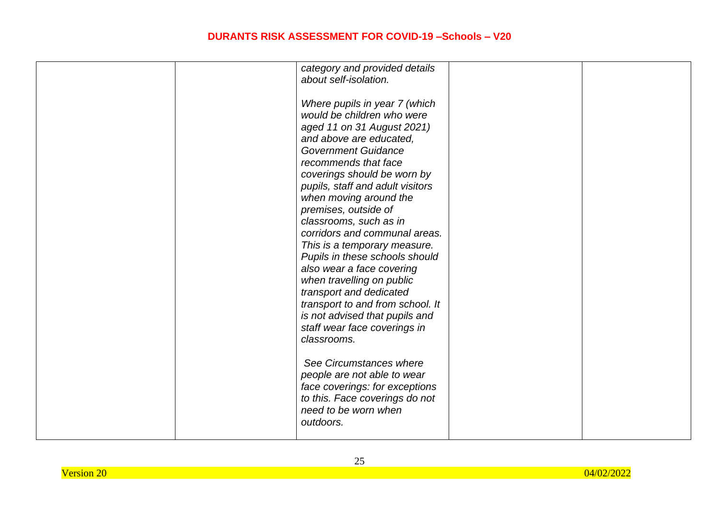| category and provided details    |  |
|----------------------------------|--|
|                                  |  |
| about self-isolation.            |  |
|                                  |  |
| Where pupils in year 7 (which    |  |
| would be children who were       |  |
|                                  |  |
| aged 11 on 31 August 2021)       |  |
| and above are educated,          |  |
| <b>Government Guidance</b>       |  |
| recommends that face             |  |
| coverings should be worn by      |  |
|                                  |  |
| pupils, staff and adult visitors |  |
| when moving around the           |  |
| premises, outside of             |  |
| classrooms, such as in           |  |
| corridors and communal areas.    |  |
| This is a temporary measure.     |  |
|                                  |  |
| Pupils in these schools should   |  |
| also wear a face covering        |  |
| when travelling on public        |  |
| transport and dedicated          |  |
| transport to and from school. It |  |
|                                  |  |
| is not advised that pupils and   |  |
| staff wear face coverings in     |  |
| classrooms.                      |  |
|                                  |  |
| See Circumstances where          |  |
| people are not able to wear      |  |
|                                  |  |
| face coverings: for exceptions   |  |
| to this. Face coverings do not   |  |
| need to be worn when             |  |
| outdoors.                        |  |
|                                  |  |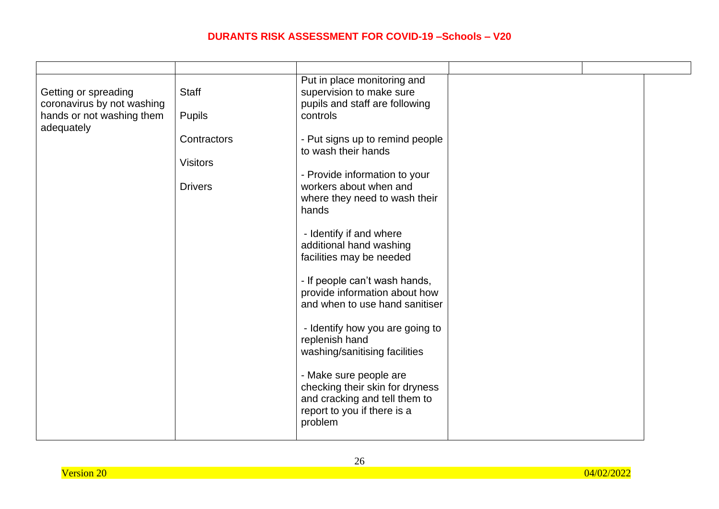| Getting or spreading<br>coronavirus by not washing<br>hands or not washing them<br>adequately | <b>Staff</b><br><b>Pupils</b> | Put in place monitoring and<br>supervision to make sure<br>pupils and staff are following<br>controls                                |  |  |
|-----------------------------------------------------------------------------------------------|-------------------------------|--------------------------------------------------------------------------------------------------------------------------------------|--|--|
|                                                                                               | Contractors                   | - Put signs up to remind people<br>to wash their hands                                                                               |  |  |
|                                                                                               | <b>Visitors</b>               | - Provide information to your                                                                                                        |  |  |
|                                                                                               | <b>Drivers</b>                | workers about when and<br>where they need to wash their<br>hands                                                                     |  |  |
|                                                                                               |                               | - Identify if and where<br>additional hand washing<br>facilities may be needed                                                       |  |  |
|                                                                                               |                               | - If people can't wash hands,<br>provide information about how<br>and when to use hand sanitiser                                     |  |  |
|                                                                                               |                               | - Identify how you are going to<br>replenish hand<br>washing/sanitising facilities                                                   |  |  |
|                                                                                               |                               | - Make sure people are<br>checking their skin for dryness<br>and cracking and tell them to<br>report to you if there is a<br>problem |  |  |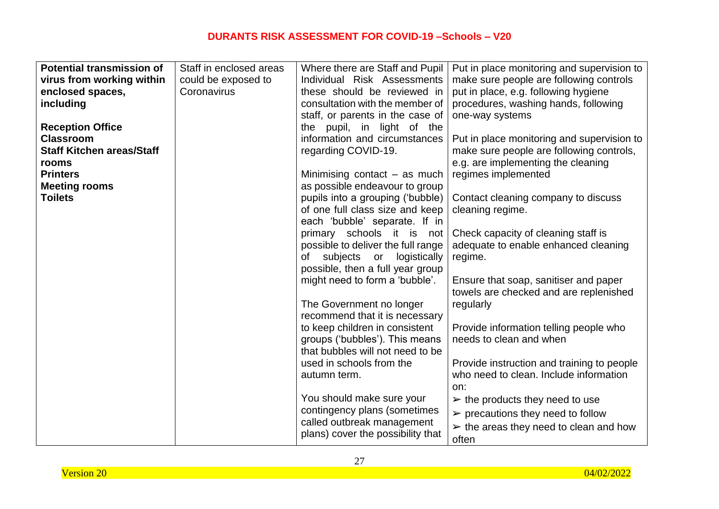| <b>Potential transmission of</b> | Staff in enclosed areas | Where there are Staff and Pupil                           | Put in place monitoring and supervision to            |
|----------------------------------|-------------------------|-----------------------------------------------------------|-------------------------------------------------------|
| virus from working within        | could be exposed to     | Individual Risk Assessments                               | make sure people are following controls               |
| enclosed spaces,                 | Coronavirus             | these should be reviewed in                               | put in place, e.g. following hygiene                  |
| including                        |                         | consultation with the member of                           | procedures, washing hands, following                  |
|                                  |                         | staff, or parents in the case of                          | one-way systems                                       |
| <b>Reception Office</b>          |                         | the pupil, in light of the                                |                                                       |
| <b>Classroom</b>                 |                         | information and circumstances                             | Put in place monitoring and supervision to            |
| <b>Staff Kitchen areas/Staff</b> |                         | regarding COVID-19.                                       | make sure people are following controls,              |
| rooms                            |                         |                                                           | e.g. are implementing the cleaning                    |
| <b>Printers</b>                  |                         | Minimising contact $-$ as much                            | regimes implemented                                   |
| <b>Meeting rooms</b>             |                         | as possible endeavour to group                            |                                                       |
| <b>Toilets</b>                   |                         | pupils into a grouping ('bubble)                          | Contact cleaning company to discuss                   |
|                                  |                         | of one full class size and keep                           | cleaning regime.                                      |
|                                  |                         | each 'bubble' separate. If in                             |                                                       |
|                                  |                         | primary schools it is not                                 | Check capacity of cleaning staff is                   |
|                                  |                         | possible to deliver the full range                        | adequate to enable enhanced cleaning                  |
|                                  |                         | subjects<br>logistically<br>or<br>οf                      | regime.                                               |
|                                  |                         | possible, then a full year group                          |                                                       |
|                                  |                         | might need to form a 'bubble'.                            | Ensure that soap, sanitiser and paper                 |
|                                  |                         |                                                           | towels are checked and are replenished                |
|                                  |                         | The Government no longer                                  | regularly                                             |
|                                  |                         | recommend that it is necessary                            |                                                       |
|                                  |                         | to keep children in consistent                            | Provide information telling people who                |
|                                  |                         | groups ('bubbles'). This means                            | needs to clean and when                               |
|                                  |                         | that bubbles will not need to be                          |                                                       |
|                                  |                         | used in schools from the                                  | Provide instruction and training to people            |
|                                  |                         | autumn term.                                              | who need to clean. Include information                |
|                                  |                         |                                                           | on:                                                   |
|                                  |                         | You should make sure your<br>contingency plans (sometimes | $\triangleright$ the products they need to use        |
|                                  |                         | called outbreak management                                | $\triangleright$ precautions they need to follow      |
|                                  |                         | plans) cover the possibility that                         | $\triangleright$ the areas they need to clean and how |
|                                  |                         |                                                           | often                                                 |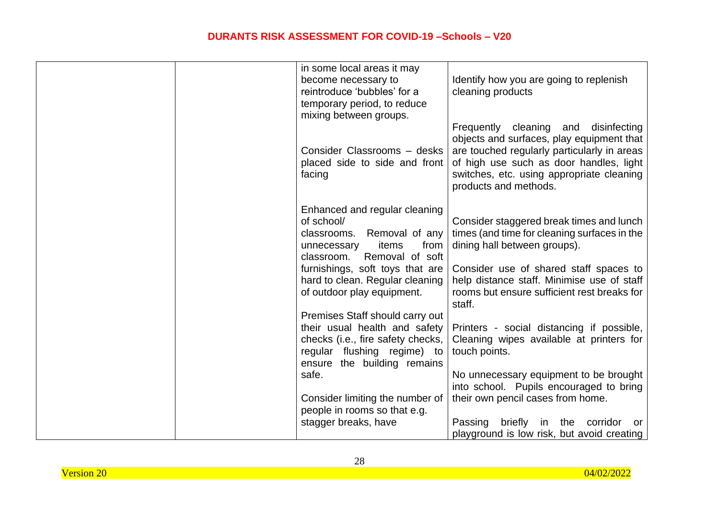|  | in some local areas it may                                             |                                                                                                                                                                                                                                                      |
|--|------------------------------------------------------------------------|------------------------------------------------------------------------------------------------------------------------------------------------------------------------------------------------------------------------------------------------------|
|  | become necessary to                                                    | Identify how you are going to replenish                                                                                                                                                                                                              |
|  | reintroduce 'bubbles' for a                                            | cleaning products                                                                                                                                                                                                                                    |
|  | temporary period, to reduce                                            |                                                                                                                                                                                                                                                      |
|  | mixing between groups.                                                 |                                                                                                                                                                                                                                                      |
|  | Consider Classrooms - desks<br>placed side to side and front<br>facing | Frequently cleaning and<br>disinfecting<br>objects and surfaces, play equipment that<br>are touched regularly particularly in areas<br>of high use such as door handles, light<br>switches, etc. using appropriate cleaning<br>products and methods. |
|  | Enhanced and regular cleaning                                          |                                                                                                                                                                                                                                                      |
|  | of school/                                                             | Consider staggered break times and lunch                                                                                                                                                                                                             |
|  | classrooms. Removal of any                                             | times (and time for cleaning surfaces in the                                                                                                                                                                                                         |
|  | items<br>from<br>unnecessary                                           | dining hall between groups).                                                                                                                                                                                                                         |
|  | classroom. Removal of soft                                             |                                                                                                                                                                                                                                                      |
|  | furnishings, soft toys that are                                        | Consider use of shared staff spaces to                                                                                                                                                                                                               |
|  | hard to clean. Regular cleaning<br>of outdoor play equipment.          | help distance staff. Minimise use of staff<br>rooms but ensure sufficient rest breaks for<br>staff.                                                                                                                                                  |
|  | Premises Staff should carry out                                        |                                                                                                                                                                                                                                                      |
|  | their usual health and safety                                          | Printers - social distancing if possible,                                                                                                                                                                                                            |
|  | checks (i.e., fire safety checks,                                      | Cleaning wipes available at printers for                                                                                                                                                                                                             |
|  | regular flushing regime) to                                            | touch points.                                                                                                                                                                                                                                        |
|  | ensure the building remains<br>safe.                                   | No unnecessary equipment to be brought                                                                                                                                                                                                               |
|  |                                                                        | into school. Pupils encouraged to bring                                                                                                                                                                                                              |
|  | Consider limiting the number of                                        | their own pencil cases from home.                                                                                                                                                                                                                    |
|  | people in rooms so that e.g.                                           |                                                                                                                                                                                                                                                      |
|  | stagger breaks, have                                                   | Passing<br>briefly in the corridor<br>or                                                                                                                                                                                                             |
|  |                                                                        | playground is low risk, but avoid creating                                                                                                                                                                                                           |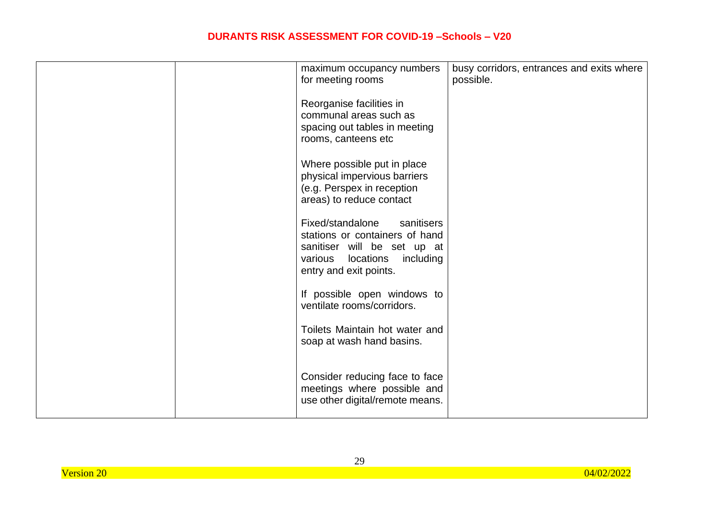| maximum occupancy numbers<br>for meeting rooms                                                                                                                 | busy corridors, entrances and exits where<br>possible. |
|----------------------------------------------------------------------------------------------------------------------------------------------------------------|--------------------------------------------------------|
| Reorganise facilities in<br>communal areas such as<br>spacing out tables in meeting<br>rooms, canteens etc                                                     |                                                        |
| Where possible put in place<br>physical impervious barriers<br>(e.g. Perspex in reception<br>areas) to reduce contact                                          |                                                        |
| Fixed/standalone<br>sanitisers<br>stations or containers of hand<br>sanitiser will be set up at<br>locations<br>various<br>including<br>entry and exit points. |                                                        |
| If possible open windows to<br>ventilate rooms/corridors.                                                                                                      |                                                        |
| Toilets Maintain hot water and<br>soap at wash hand basins.                                                                                                    |                                                        |
| Consider reducing face to face<br>meetings where possible and<br>use other digital/remote means.                                                               |                                                        |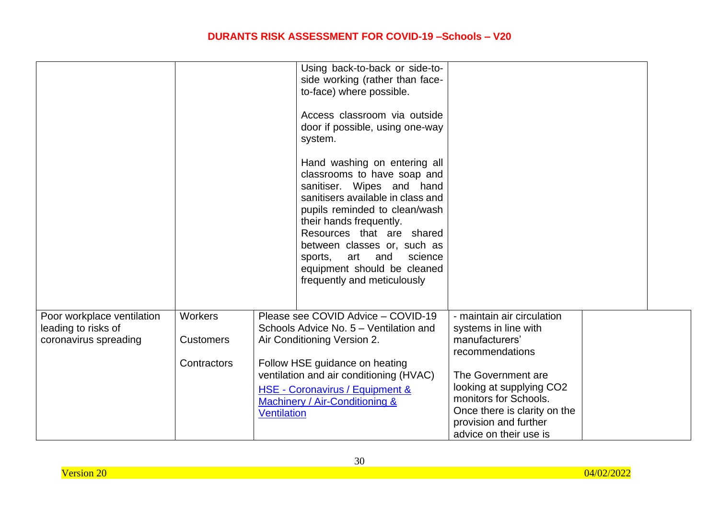|                                                                            |                                                   |                    | Using back-to-back or side-to-<br>side working (rather than face-<br>to-face) where possible.<br>Access classroom via outside<br>door if possible, using one-way<br>system.                                                                                                                                                                       |                                                                                                                                                                                                                                                       |  |
|----------------------------------------------------------------------------|---------------------------------------------------|--------------------|---------------------------------------------------------------------------------------------------------------------------------------------------------------------------------------------------------------------------------------------------------------------------------------------------------------------------------------------------|-------------------------------------------------------------------------------------------------------------------------------------------------------------------------------------------------------------------------------------------------------|--|
|                                                                            |                                                   |                    | Hand washing on entering all<br>classrooms to have soap and<br>sanitiser. Wipes and hand<br>sanitisers available in class and<br>pupils reminded to clean/wash<br>their hands frequently.<br>Resources that are shared<br>between classes or, such as<br>sports, art and<br>science<br>equipment should be cleaned<br>frequently and meticulously |                                                                                                                                                                                                                                                       |  |
| Poor workplace ventilation<br>leading to risks of<br>coronavirus spreading | <b>Workers</b><br><b>Customers</b><br>Contractors | <b>Ventilation</b> | Please see COVID Advice - COVID-19<br>Schools Advice No. 5 - Ventilation and<br>Air Conditioning Version 2.<br>Follow HSE guidance on heating<br>ventilation and air conditioning (HVAC)<br>HSE - Coronavirus / Equipment &<br>Machinery / Air-Conditioning &                                                                                     | - maintain air circulation<br>systems in line with<br>manufacturers'<br>recommendations<br>The Government are<br>looking at supplying CO2<br>monitors for Schools.<br>Once there is clarity on the<br>provision and further<br>advice on their use is |  |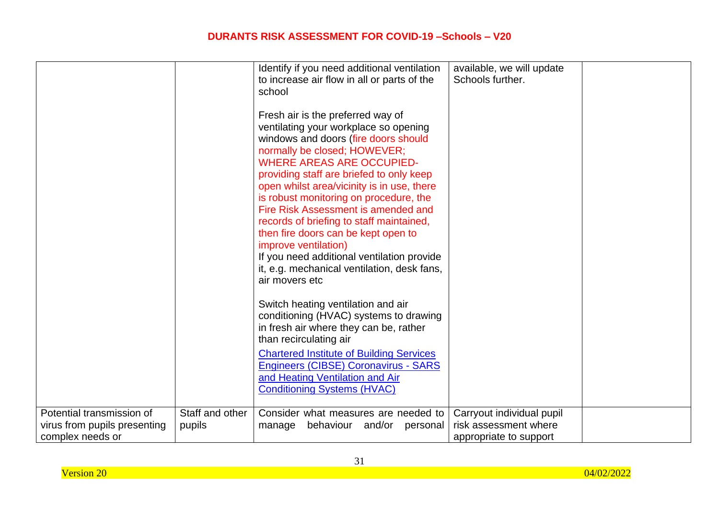|                              |                 | Identify if you need additional ventilation     | available, we will update |  |
|------------------------------|-----------------|-------------------------------------------------|---------------------------|--|
|                              |                 | to increase air flow in all or parts of the     | Schools further.          |  |
|                              |                 | school                                          |                           |  |
|                              |                 |                                                 |                           |  |
|                              |                 | Fresh air is the preferred way of               |                           |  |
|                              |                 | ventilating your workplace so opening           |                           |  |
|                              |                 | windows and doors (fire doors should            |                           |  |
|                              |                 | normally be closed; HOWEVER;                    |                           |  |
|                              |                 | <b>WHERE AREAS ARE OCCUPIED-</b>                |                           |  |
|                              |                 |                                                 |                           |  |
|                              |                 | providing staff are briefed to only keep        |                           |  |
|                              |                 | open whilst area/vicinity is in use, there      |                           |  |
|                              |                 | is robust monitoring on procedure, the          |                           |  |
|                              |                 | Fire Risk Assessment is amended and             |                           |  |
|                              |                 | records of briefing to staff maintained,        |                           |  |
|                              |                 | then fire doors can be kept open to             |                           |  |
|                              |                 | improve ventilation)                            |                           |  |
|                              |                 | If you need additional ventilation provide      |                           |  |
|                              |                 | it, e.g. mechanical ventilation, desk fans,     |                           |  |
|                              |                 | air movers etc                                  |                           |  |
|                              |                 |                                                 |                           |  |
|                              |                 | Switch heating ventilation and air              |                           |  |
|                              |                 | conditioning (HVAC) systems to drawing          |                           |  |
|                              |                 | in fresh air where they can be, rather          |                           |  |
|                              |                 | than recirculating air                          |                           |  |
|                              |                 |                                                 |                           |  |
|                              |                 | <b>Chartered Institute of Building Services</b> |                           |  |
|                              |                 | <b>Engineers (CIBSE) Coronavirus - SARS</b>     |                           |  |
|                              |                 | and Heating Ventilation and Air                 |                           |  |
|                              |                 | <b>Conditioning Systems (HVAC)</b>              |                           |  |
|                              |                 |                                                 |                           |  |
| Potential transmission of    | Staff and other | Consider what measures are needed to            | Carryout individual pupil |  |
| virus from pupils presenting | pupils          | behaviour and/or<br>manage<br>personal          | risk assessment where     |  |
| complex needs or             |                 |                                                 | appropriate to support    |  |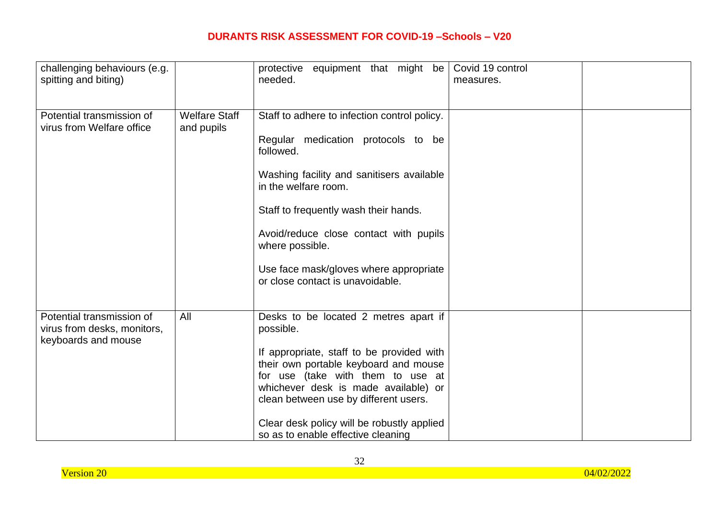| challenging behaviours (e.g.<br>spitting and biting)                            |                                    | protective equipment that might be<br>needed.                                                                                                                                                                                                                                                                                                            | Covid 19 control<br>measures. |  |
|---------------------------------------------------------------------------------|------------------------------------|----------------------------------------------------------------------------------------------------------------------------------------------------------------------------------------------------------------------------------------------------------------------------------------------------------------------------------------------------------|-------------------------------|--|
| Potential transmission of<br>virus from Welfare office                          | <b>Welfare Staff</b><br>and pupils | Staff to adhere to infection control policy.<br>Regular medication protocols to be<br>followed.<br>Washing facility and sanitisers available<br>in the welfare room.<br>Staff to frequently wash their hands.<br>Avoid/reduce close contact with pupils<br>where possible.<br>Use face mask/gloves where appropriate<br>or close contact is unavoidable. |                               |  |
| Potential transmission of<br>virus from desks, monitors,<br>keyboards and mouse | All                                | Desks to be located 2 metres apart if<br>possible.<br>If appropriate, staff to be provided with<br>their own portable keyboard and mouse<br>for use (take with them to use at<br>whichever desk is made available) or<br>clean between use by different users.<br>Clear desk policy will be robustly applied<br>so as to enable effective cleaning       |                               |  |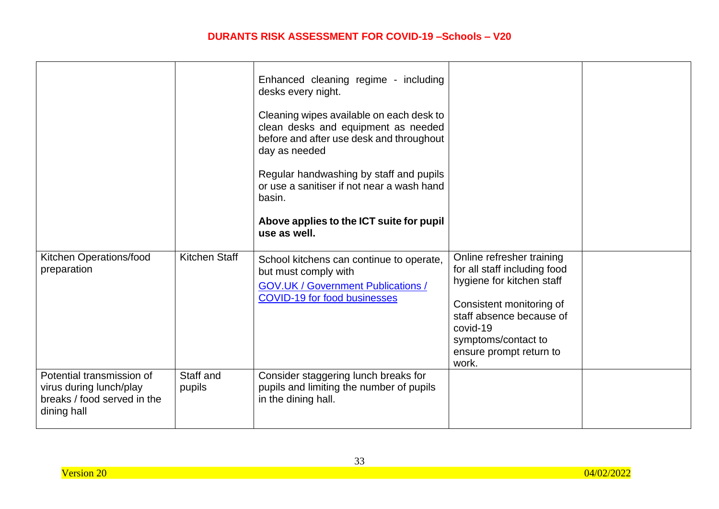|                                                                                                    |                      | Enhanced cleaning regime - including<br>desks every night.<br>Cleaning wipes available on each desk to<br>clean desks and equipment as needed<br>before and after use desk and throughout<br>day as needed<br>Regular handwashing by staff and pupils<br>or use a sanitiser if not near a wash hand<br>basin.<br>Above applies to the ICT suite for pupil<br>use as well. |                                                                                                                                                                                                                       |  |
|----------------------------------------------------------------------------------------------------|----------------------|---------------------------------------------------------------------------------------------------------------------------------------------------------------------------------------------------------------------------------------------------------------------------------------------------------------------------------------------------------------------------|-----------------------------------------------------------------------------------------------------------------------------------------------------------------------------------------------------------------------|--|
| Kitchen Operations/food<br>preparation                                                             | <b>Kitchen Staff</b> | School kitchens can continue to operate,<br>but must comply with<br><b>GOV.UK / Government Publications /</b><br><b>COVID-19 for food businesses</b>                                                                                                                                                                                                                      | Online refresher training<br>for all staff including food<br>hygiene for kitchen staff<br>Consistent monitoring of<br>staff absence because of<br>covid-19<br>symptoms/contact to<br>ensure prompt return to<br>work. |  |
| Potential transmission of<br>virus during lunch/play<br>breaks / food served in the<br>dining hall | Staff and<br>pupils  | Consider staggering lunch breaks for<br>pupils and limiting the number of pupils<br>in the dining hall.                                                                                                                                                                                                                                                                   |                                                                                                                                                                                                                       |  |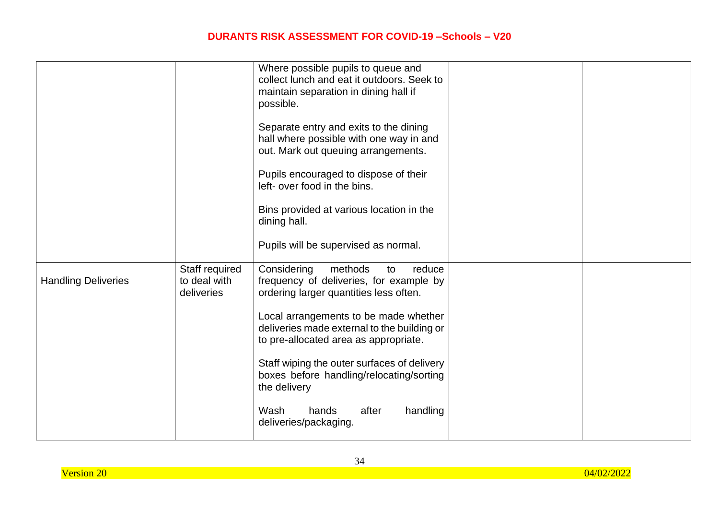|                            |                                              | Where possible pupils to queue and<br>collect lunch and eat it outdoors. Seek to<br>maintain separation in dining hall if<br>possible.<br>Separate entry and exits to the dining<br>hall where possible with one way in and<br>out. Mark out queuing arrangements.<br>Pupils encouraged to dispose of their<br>left- over food in the bins.<br>Bins provided at various location in the<br>dining hall.<br>Pupils will be supervised as normal. |  |
|----------------------------|----------------------------------------------|-------------------------------------------------------------------------------------------------------------------------------------------------------------------------------------------------------------------------------------------------------------------------------------------------------------------------------------------------------------------------------------------------------------------------------------------------|--|
| <b>Handling Deliveries</b> | Staff required<br>to deal with<br>deliveries | Considering<br>methods<br>reduce<br>to<br>frequency of deliveries, for example by<br>ordering larger quantities less often.<br>Local arrangements to be made whether<br>deliveries made external to the building or<br>to pre-allocated area as appropriate.<br>Staff wiping the outer surfaces of delivery<br>boxes before handling/relocating/sorting<br>the delivery<br>Wash<br>after<br>handling<br>hands<br>deliveries/packaging.          |  |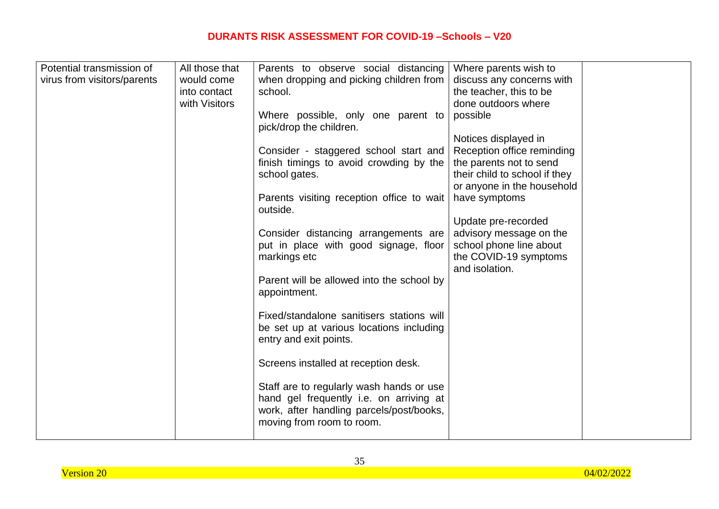| Potential transmission of   | All those that | Parents to observe social distancing      | Where parents wish to         |  |
|-----------------------------|----------------|-------------------------------------------|-------------------------------|--|
| virus from visitors/parents | would come     | when dropping and picking children from   | discuss any concerns with     |  |
|                             | into contact   | school.                                   | the teacher, this to be       |  |
|                             | with Visitors  |                                           | done outdoors where           |  |
|                             |                | Where possible, only one parent to        | possible                      |  |
|                             |                | pick/drop the children.                   |                               |  |
|                             |                |                                           | Notices displayed in          |  |
|                             |                |                                           |                               |  |
|                             |                | Consider - staggered school start and     | Reception office reminding    |  |
|                             |                | finish timings to avoid crowding by the   | the parents not to send       |  |
|                             |                | school gates.                             | their child to school if they |  |
|                             |                |                                           | or anyone in the household    |  |
|                             |                | Parents visiting reception office to wait | have symptoms                 |  |
|                             |                | outside.                                  |                               |  |
|                             |                |                                           | Update pre-recorded           |  |
|                             |                | Consider distancing arrangements are      | advisory message on the       |  |
|                             |                | put in place with good signage, floor     | school phone line about       |  |
|                             |                | markings etc                              | the COVID-19 symptoms         |  |
|                             |                |                                           | and isolation.                |  |
|                             |                | Parent will be allowed into the school by |                               |  |
|                             |                | appointment.                              |                               |  |
|                             |                |                                           |                               |  |
|                             |                | Fixed/standalone sanitisers stations will |                               |  |
|                             |                | be set up at various locations including  |                               |  |
|                             |                | entry and exit points.                    |                               |  |
|                             |                |                                           |                               |  |
|                             |                | Screens installed at reception desk.      |                               |  |
|                             |                |                                           |                               |  |
|                             |                | Staff are to regularly wash hands or use  |                               |  |
|                             |                | hand gel frequently i.e. on arriving at   |                               |  |
|                             |                | work, after handling parcels/post/books,  |                               |  |
|                             |                | moving from room to room.                 |                               |  |
|                             |                |                                           |                               |  |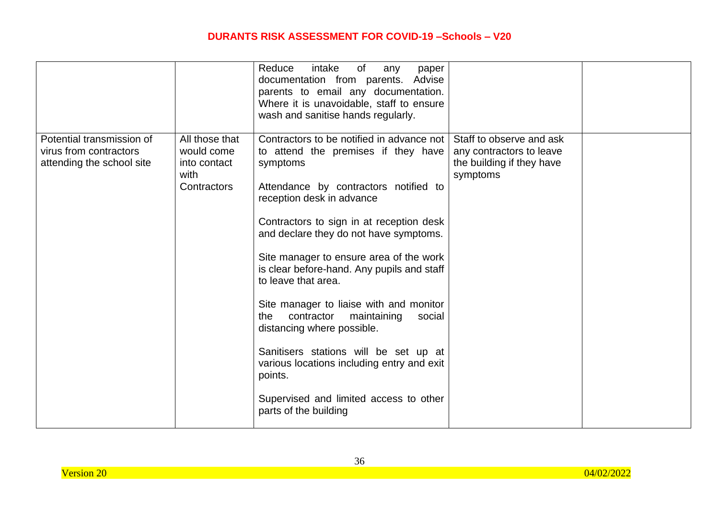|                                                                                  |                                                                     | Reduce<br>of<br>intake<br>any<br>paper<br>documentation from parents. Advise<br>parents to email any documentation.<br>Where it is unavoidable, staff to ensure<br>wash and sanitise hands regularly.                                                                                                                                                                                                                                                                                                                                                                                                                                                                |                                                                                               |  |
|----------------------------------------------------------------------------------|---------------------------------------------------------------------|----------------------------------------------------------------------------------------------------------------------------------------------------------------------------------------------------------------------------------------------------------------------------------------------------------------------------------------------------------------------------------------------------------------------------------------------------------------------------------------------------------------------------------------------------------------------------------------------------------------------------------------------------------------------|-----------------------------------------------------------------------------------------------|--|
| Potential transmission of<br>virus from contractors<br>attending the school site | All those that<br>would come<br>into contact<br>with<br>Contractors | Contractors to be notified in advance not<br>to attend the premises if they have<br>symptoms<br>Attendance by contractors notified to<br>reception desk in advance<br>Contractors to sign in at reception desk<br>and declare they do not have symptoms.<br>Site manager to ensure area of the work<br>is clear before-hand. Any pupils and staff<br>to leave that area.<br>Site manager to liaise with and monitor<br>contractor<br>maintaining<br>the<br>social<br>distancing where possible.<br>Sanitisers stations will be set up at<br>various locations including entry and exit<br>points.<br>Supervised and limited access to other<br>parts of the building | Staff to observe and ask<br>any contractors to leave<br>the building if they have<br>symptoms |  |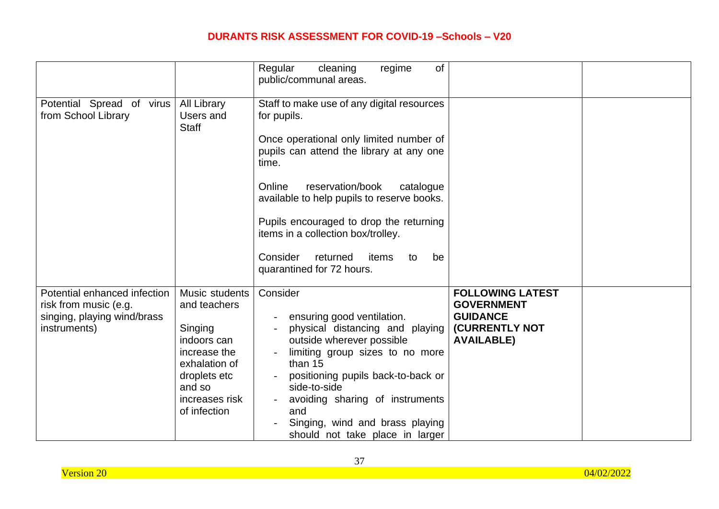|                                                                                                      |                                                                                                                                                       | of<br>Regular<br>regime<br>cleaning<br>public/communal areas.                                                                                                                                                                                                                                                                                                                                                 |                                                                                                               |  |
|------------------------------------------------------------------------------------------------------|-------------------------------------------------------------------------------------------------------------------------------------------------------|---------------------------------------------------------------------------------------------------------------------------------------------------------------------------------------------------------------------------------------------------------------------------------------------------------------------------------------------------------------------------------------------------------------|---------------------------------------------------------------------------------------------------------------|--|
| Potential Spread of virus<br>from School Library                                                     | <b>All Library</b><br>Users and<br><b>Staff</b>                                                                                                       | Staff to make use of any digital resources<br>for pupils.<br>Once operational only limited number of<br>pupils can attend the library at any one<br>time.<br>Online<br>reservation/book<br>catalogue<br>available to help pupils to reserve books.<br>Pupils encouraged to drop the returning<br>items in a collection box/trolley.<br>Consider<br>returned<br>items<br>to<br>be<br>quarantined for 72 hours. |                                                                                                               |  |
| Potential enhanced infection<br>risk from music (e.g.<br>singing, playing wind/brass<br>instruments) | Music students<br>and teachers<br>Singing<br>indoors can<br>increase the<br>exhalation of<br>droplets etc<br>and so<br>increases risk<br>of infection | Consider<br>ensuring good ventilation.<br>physical distancing and playing<br>outside wherever possible<br>limiting group sizes to no more<br>than 15<br>positioning pupils back-to-back or<br>side-to-side<br>avoiding sharing of instruments<br>and<br>Singing, wind and brass playing<br>should not take place in larger                                                                                    | <b>FOLLOWING LATEST</b><br><b>GOVERNMENT</b><br><b>GUIDANCE</b><br><b>(CURRENTLY NOT</b><br><b>AVAILABLE)</b> |  |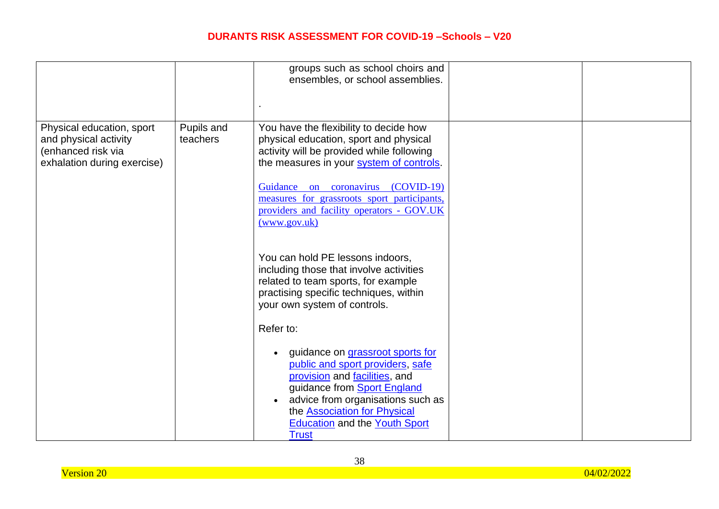|                                                                                                         |                        | groups such as school choirs and<br>ensembles, or school assemblies.                                                                                                                                                                                                                                                        |  |
|---------------------------------------------------------------------------------------------------------|------------------------|-----------------------------------------------------------------------------------------------------------------------------------------------------------------------------------------------------------------------------------------------------------------------------------------------------------------------------|--|
| Physical education, sport<br>and physical activity<br>(enhanced risk via<br>exhalation during exercise) | Pupils and<br>teachers | You have the flexibility to decide how<br>physical education, sport and physical<br>activity will be provided while following<br>the measures in your system of controls.<br>Guidance on coronavirus (COVID-19)<br>measures for grassroots sport participants,<br>providers and facility operators - GOV.UK<br>(www.gov.uk) |  |
|                                                                                                         |                        | You can hold PE lessons indoors,<br>including those that involve activities<br>related to team sports, for example<br>practising specific techniques, within<br>your own system of controls.<br>Refer to:                                                                                                                   |  |
|                                                                                                         |                        | guidance on grassroot sports for<br>$\bullet$<br>public and sport providers, safe<br>provision and facilities, and<br>guidance from <b>Sport England</b><br>advice from organisations such as<br>the <b>Association for Physical</b><br><b>Education and the Youth Sport</b><br><b>Trust</b>                                |  |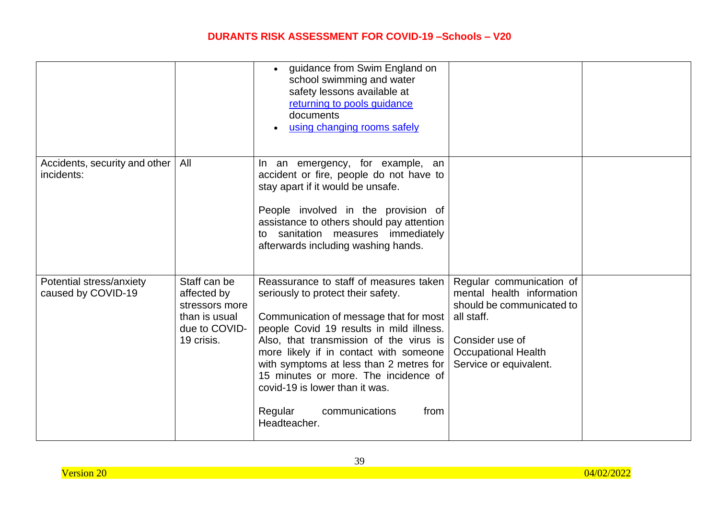|                                                |                                                                                               | guidance from Swim England on<br>school swimming and water<br>safety lessons available at<br>returning to pools guidance<br>documents<br>using changing rooms safely                                                                                                                                                                                                                                                              |                                                                                                                                                                             |  |
|------------------------------------------------|-----------------------------------------------------------------------------------------------|-----------------------------------------------------------------------------------------------------------------------------------------------------------------------------------------------------------------------------------------------------------------------------------------------------------------------------------------------------------------------------------------------------------------------------------|-----------------------------------------------------------------------------------------------------------------------------------------------------------------------------|--|
| Accidents, security and other  <br>incidents:  | All                                                                                           | In an emergency, for example, an<br>accident or fire, people do not have to<br>stay apart if it would be unsafe.<br>People involved in the provision of<br>assistance to others should pay attention<br>to sanitation measures immediately<br>afterwards including washing hands.                                                                                                                                                 |                                                                                                                                                                             |  |
| Potential stress/anxiety<br>caused by COVID-19 | Staff can be<br>affected by<br>stressors more<br>than is usual<br>due to COVID-<br>19 crisis. | Reassurance to staff of measures taken<br>seriously to protect their safety.<br>Communication of message that for most<br>people Covid 19 results in mild illness.<br>Also, that transmission of the virus is<br>more likely if in contact with someone<br>with symptoms at less than 2 metres for<br>15 minutes or more. The incidence of<br>covid-19 is lower than it was.<br>Regular<br>communications<br>from<br>Headteacher. | Regular communication of<br>mental health information<br>should be communicated to<br>all staff.<br>Consider use of<br><b>Occupational Health</b><br>Service or equivalent. |  |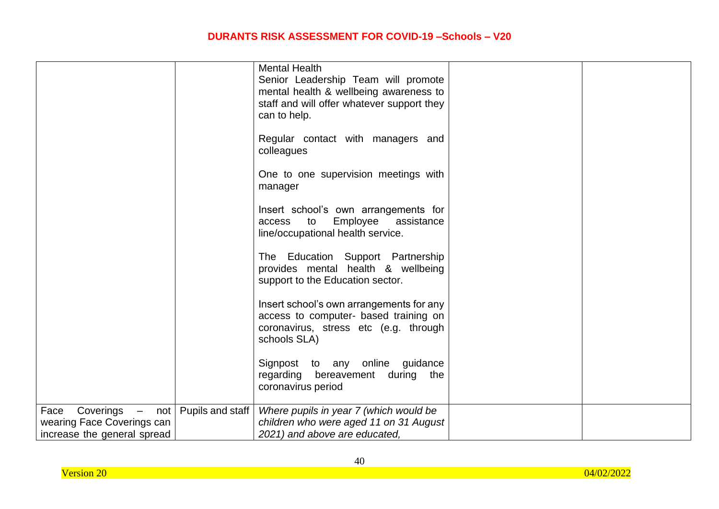|                                                          | <b>Mental Health</b><br>Senior Leadership Team will promote                                                                                |  |
|----------------------------------------------------------|--------------------------------------------------------------------------------------------------------------------------------------------|--|
|                                                          | mental health & wellbeing awareness to                                                                                                     |  |
|                                                          | staff and will offer whatever support they                                                                                                 |  |
|                                                          | can to help.                                                                                                                               |  |
|                                                          | Regular contact with managers and<br>colleagues                                                                                            |  |
|                                                          | One to one supervision meetings with<br>manager                                                                                            |  |
|                                                          | Insert school's own arrangements for<br>Employee<br>assistance<br>to<br>access<br>line/occupational health service.                        |  |
|                                                          | The Education Support Partnership<br>provides mental health & wellbeing<br>support to the Education sector.                                |  |
|                                                          | Insert school's own arrangements for any<br>access to computer- based training on<br>coronavirus, stress etc (e.g. through<br>schools SLA) |  |
|                                                          | Signpost to any online guidance<br>regarding bereavement during the<br>coronavirus period                                                  |  |
| Pupils and staff<br>Coverings<br>Face<br>$\equiv$<br>not | Where pupils in year 7 (which would be                                                                                                     |  |
| wearing Face Coverings can                               | children who were aged 11 on 31 August                                                                                                     |  |
| increase the general spread                              | 2021) and above are educated,                                                                                                              |  |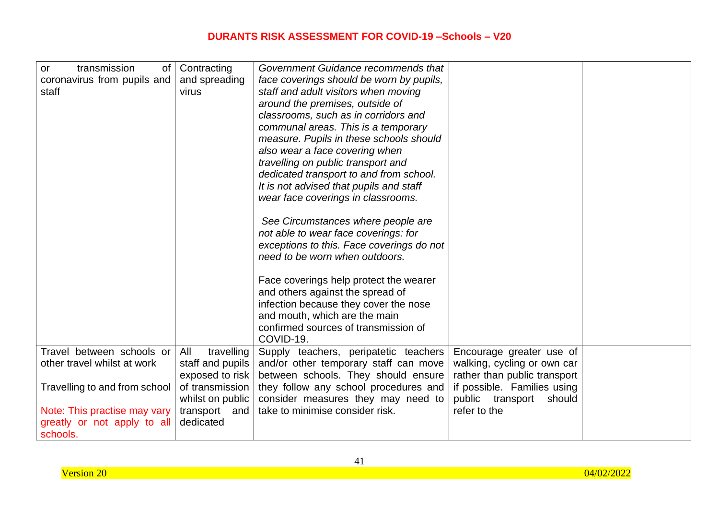| transmission<br><b>or</b><br>of | Contracting       | Government Guidance recommends that       |                              |  |
|---------------------------------|-------------------|-------------------------------------------|------------------------------|--|
| coronavirus from pupils and     | and spreading     | face coverings should be worn by pupils,  |                              |  |
| staff                           | virus             | staff and adult visitors when moving      |                              |  |
|                                 |                   | around the premises, outside of           |                              |  |
|                                 |                   | classrooms, such as in corridors and      |                              |  |
|                                 |                   | communal areas. This is a temporary       |                              |  |
|                                 |                   | measure. Pupils in these schools should   |                              |  |
|                                 |                   | also wear a face covering when            |                              |  |
|                                 |                   | travelling on public transport and        |                              |  |
|                                 |                   | dedicated transport to and from school.   |                              |  |
|                                 |                   | It is not advised that pupils and staff   |                              |  |
|                                 |                   | wear face coverings in classrooms.        |                              |  |
|                                 |                   |                                           |                              |  |
|                                 |                   | See Circumstances where people are        |                              |  |
|                                 |                   | not able to wear face coverings: for      |                              |  |
|                                 |                   | exceptions to this. Face coverings do not |                              |  |
|                                 |                   | need to be worn when outdoors.            |                              |  |
|                                 |                   |                                           |                              |  |
|                                 |                   | Face coverings help protect the wearer    |                              |  |
|                                 |                   |                                           |                              |  |
|                                 |                   | and others against the spread of          |                              |  |
|                                 |                   | infection because they cover the nose     |                              |  |
|                                 |                   | and mouth, which are the main             |                              |  |
|                                 |                   | confirmed sources of transmission of      |                              |  |
|                                 |                   | COVID-19.                                 |                              |  |
| Travel between schools or       | travelling<br>All | Supply teachers, peripatetic teachers     | Encourage greater use of     |  |
| other travel whilst at work     | staff and pupils  | and/or other temporary staff can move     | walking, cycling or own car  |  |
|                                 | exposed to risk   | between schools. They should ensure       | rather than public transport |  |
| Travelling to and from school   | of transmission   | they follow any school procedures and     | if possible. Families using  |  |
|                                 | whilst on public  | consider measures they may need to        | public transport<br>should   |  |
| Note: This practise may vary    | transport and     | take to minimise consider risk.           | refer to the                 |  |
| greatly or not apply to all     | dedicated         |                                           |                              |  |
| schools.                        |                   |                                           |                              |  |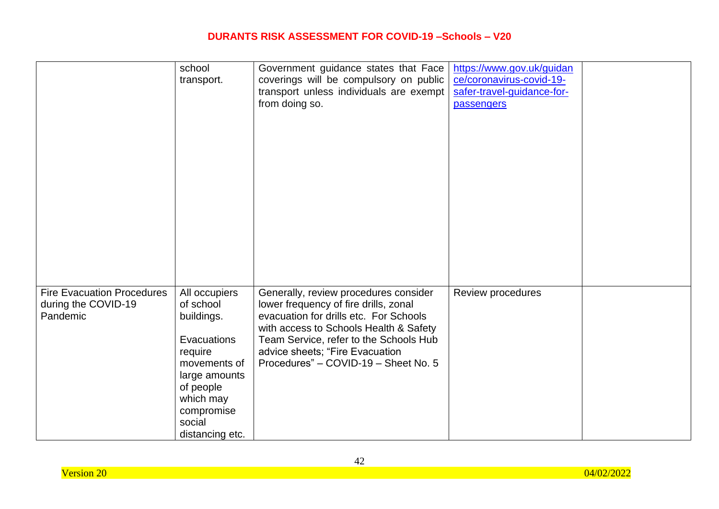|                                   | school          | Government guidance states that Face    | https://www.gov.uk/guidan  |  |
|-----------------------------------|-----------------|-----------------------------------------|----------------------------|--|
|                                   | transport.      | coverings will be compulsory on public  | ce/coronavirus-covid-19-   |  |
|                                   |                 | transport unless individuals are exempt | safer-travel-guidance-for- |  |
|                                   |                 | from doing so.                          | passengers                 |  |
|                                   |                 |                                         |                            |  |
|                                   |                 |                                         |                            |  |
|                                   |                 |                                         |                            |  |
|                                   |                 |                                         |                            |  |
|                                   |                 |                                         |                            |  |
|                                   |                 |                                         |                            |  |
|                                   |                 |                                         |                            |  |
|                                   |                 |                                         |                            |  |
|                                   |                 |                                         |                            |  |
|                                   |                 |                                         |                            |  |
|                                   |                 |                                         |                            |  |
|                                   |                 |                                         |                            |  |
|                                   |                 |                                         |                            |  |
|                                   |                 |                                         |                            |  |
|                                   |                 |                                         |                            |  |
|                                   |                 |                                         |                            |  |
|                                   |                 |                                         |                            |  |
| <b>Fire Evacuation Procedures</b> | All occupiers   | Generally, review procedures consider   | Review procedures          |  |
| during the COVID-19               | of school       | lower frequency of fire drills, zonal   |                            |  |
| Pandemic                          | buildings.      | evacuation for drills etc. For Schools  |                            |  |
|                                   |                 | with access to Schools Health & Safety  |                            |  |
|                                   | Evacuations     | Team Service, refer to the Schools Hub  |                            |  |
|                                   | require         | advice sheets; "Fire Evacuation         |                            |  |
|                                   | movements of    | Procedures" - COVID-19 - Sheet No. 5    |                            |  |
|                                   | large amounts   |                                         |                            |  |
|                                   |                 |                                         |                            |  |
|                                   | of people       |                                         |                            |  |
|                                   | which may       |                                         |                            |  |
|                                   | compromise      |                                         |                            |  |
|                                   | social          |                                         |                            |  |
|                                   | distancing etc. |                                         |                            |  |